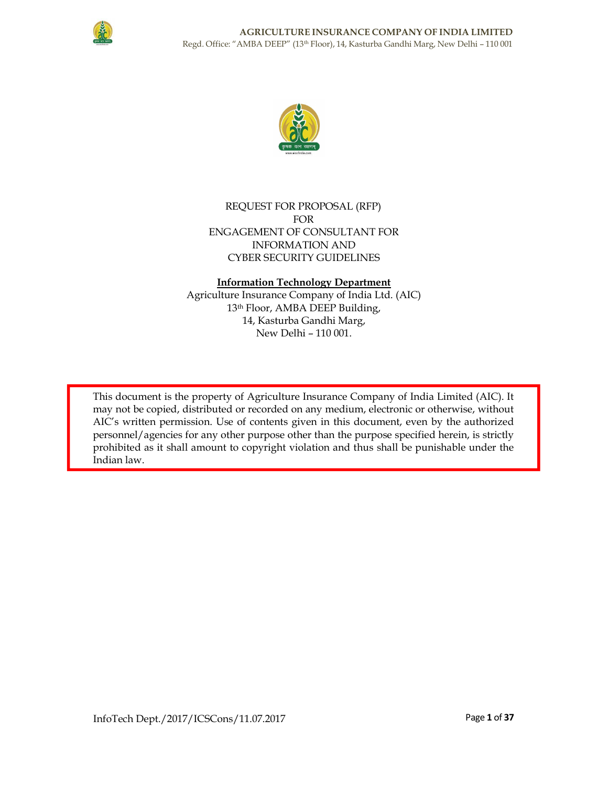



# REQUEST FOR PROPOSAL (RFP) FOR ENGAGEMENT OF CONSULTANT FOR INFORMATION AND CYBER SECURITY GUIDELINES

# Information Technology Department

Agriculture Insurance Company of India Ltd. (AIC) 13th Floor, AMBA DEEP Building, 14, Kasturba Gandhi Marg, New Delhi – 110 001.

This document is the property of Agriculture Insurance Company of India Limited (AIC). It may not be copied, distributed or recorded on any medium, electronic or otherwise, without AIC's written permission. Use of contents given in this document, even by the authorized personnel/agencies for any other purpose other than the purpose specified herein, is strictly prohibited as it shall amount to copyright violation and thus shall be punishable under the Indian law.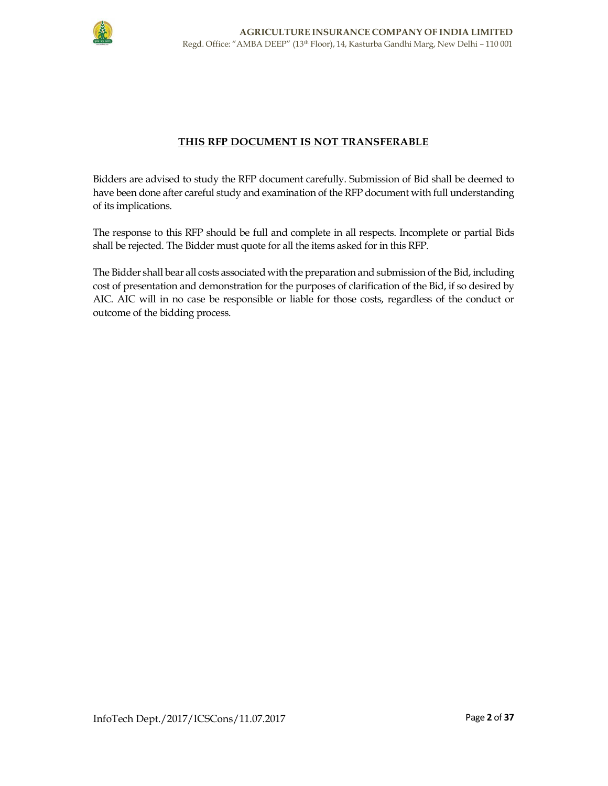

# THIS RFP DOCUMENT IS NOT TRANSFERABLE

Bidders are advised to study the RFP document carefully. Submission of Bid shall be deemed to have been done after careful study and examination of the RFP document with full understanding of its implications.

The response to this RFP should be full and complete in all respects. Incomplete or partial Bids shall be rejected. The Bidder must quote for all the items asked for in this RFP.

The Bidder shall bear all costs associated with the preparation and submission of the Bid, including cost of presentation and demonstration for the purposes of clarification of the Bid, if so desired by AIC. AIC will in no case be responsible or liable for those costs, regardless of the conduct or outcome of the bidding process.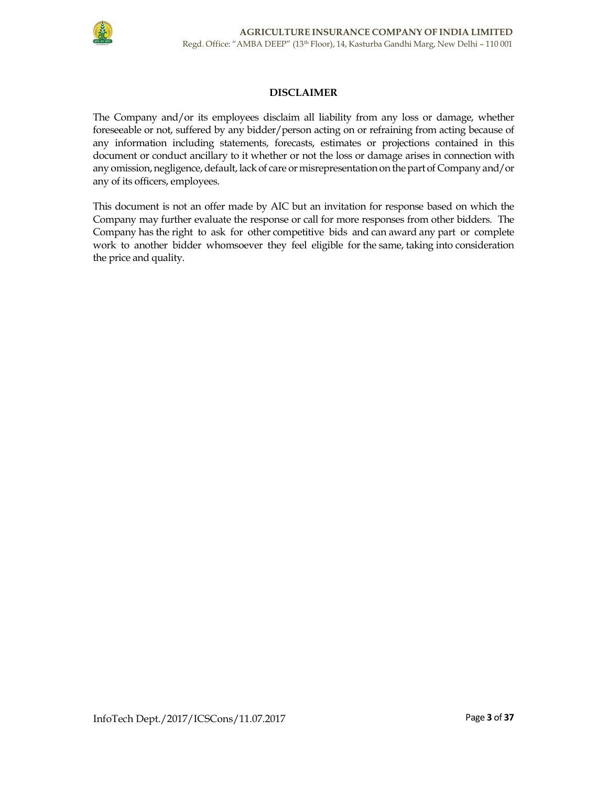

# DISCLAIMER

The Company and/or its employees disclaim all liability from any loss or damage, whether foreseeable or not, suffered by any bidder/person acting on or refraining from acting because of any information including statements, forecasts, estimates or projections contained in this document or conduct ancillary to it whether or not the loss or damage arises in connection with any omission, negligence, default, lack of care or misrepresentation on the part of Company and/or any of its officers, employees.

This document is not an offer made by AIC but an invitation for response based on which the Company may further evaluate the response or call for more responses from other bidders. The Company has the right to ask for other competitive bids and can award any part or complete work to another bidder whomsoever they feel eligible for the same, taking into consideration the price and quality.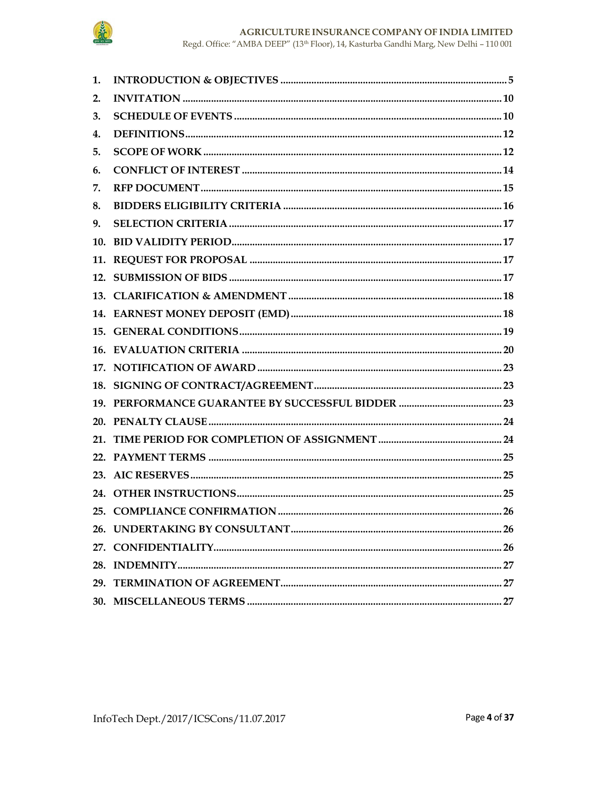

Regd. Office: "AMBA DEEP" (13th Floor), 14, Kasturba Gandhi Marg, New Delhi - 110 $001\,$ 

| 1.  |  |
|-----|--|
| 2.  |  |
| 3.  |  |
| 4.  |  |
| 5.  |  |
| 6.  |  |
| 7.  |  |
| 8.  |  |
| 9.  |  |
| 10. |  |
|     |  |
|     |  |
|     |  |
|     |  |
|     |  |
|     |  |
|     |  |
|     |  |
|     |  |
|     |  |
|     |  |
|     |  |
|     |  |
|     |  |
|     |  |
|     |  |
|     |  |
|     |  |
|     |  |
|     |  |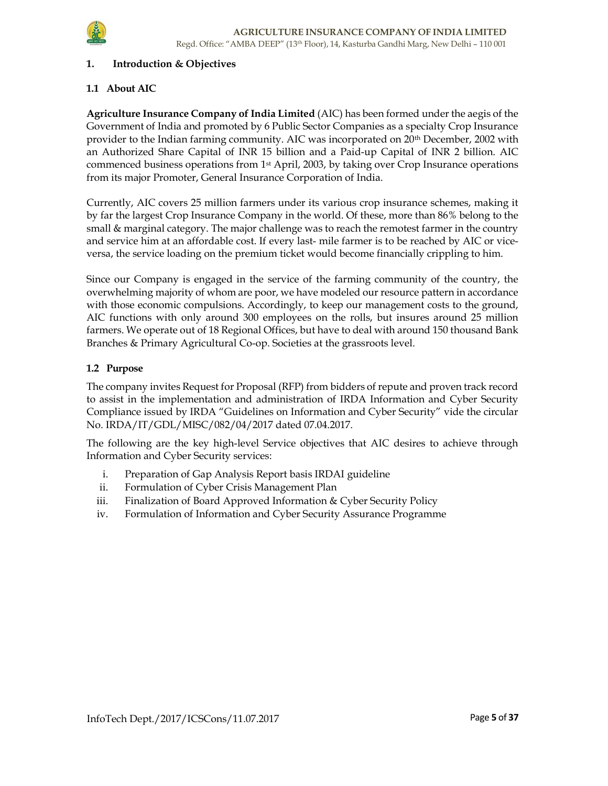

### 1. Introduction & Objectives

### 1.1 About AIC

Agriculture Insurance Company of India Limited (AIC) has been formed under the aegis of the Government of India and promoted by 6 Public Sector Companies as a specialty Crop Insurance provider to the Indian farming community. AIC was incorporated on 20<sup>th</sup> December, 2002 with an Authorized Share Capital of INR 15 billion and a Paid-up Capital of INR 2 billion. AIC commenced business operations from 1st April, 2003, by taking over Crop Insurance operations from its major Promoter, General Insurance Corporation of India.

Currently, AIC covers 25 million farmers under its various crop insurance schemes, making it by far the largest Crop Insurance Company in the world. Of these, more than 86% belong to the small & marginal category. The major challenge was to reach the remotest farmer in the country and service him at an affordable cost. If every last- mile farmer is to be reached by AIC or viceversa, the service loading on the premium ticket would become financially crippling to him.

Since our Company is engaged in the service of the farming community of the country, the overwhelming majority of whom are poor, we have modeled our resource pattern in accordance with those economic compulsions. Accordingly, to keep our management costs to the ground, AIC functions with only around 300 employees on the rolls, but insures around 25 million farmers. We operate out of 18 Regional Offices, but have to deal with around 150 thousand Bank Branches & Primary Agricultural Co-op. Societies at the grassroots level.

### 1.2 Purpose

The company invites Request for Proposal (RFP) from bidders of repute and proven track record to assist in the implementation and administration of IRDA Information and Cyber Security Compliance issued by IRDA "Guidelines on Information and Cyber Security" vide the circular No. IRDA/IT/GDL/MISC/082/04/2017 dated 07.04.2017.

The following are the key high-level Service objectives that AIC desires to achieve through Information and Cyber Security services:

- i. Preparation of Gap Analysis Report basis IRDAI guideline
- ii. Formulation of Cyber Crisis Management Plan
- iii. Finalization of Board Approved Information & Cyber Security Policy
- iv. Formulation of Information and Cyber Security Assurance Programme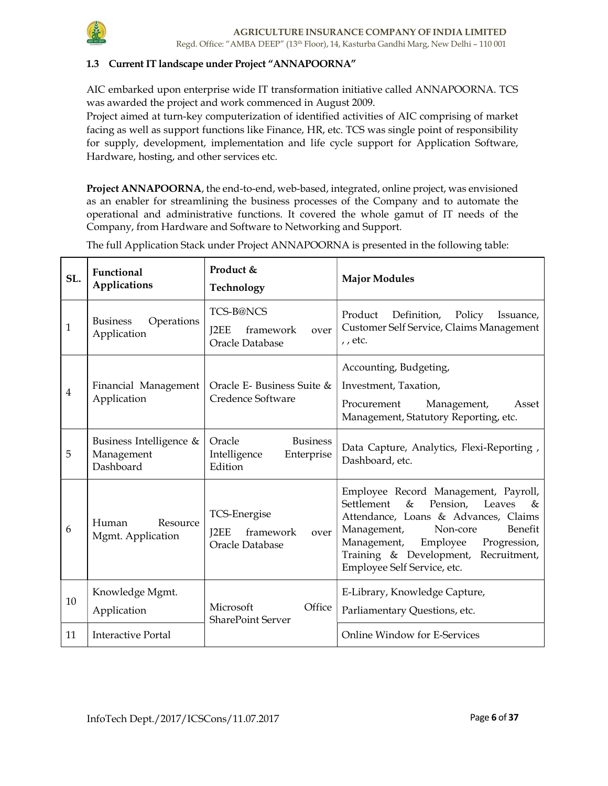

### 1.3 Current IT landscape under Project "ANNAPOORNA"

AIC embarked upon enterprise wide IT transformation initiative called ANNAPOORNA. TCS was awarded the project and work commenced in August 2009.

Project aimed at turn-key computerization of identified activities of AIC comprising of market facing as well as support functions like Finance, HR, etc. TCS was single point of responsibility for supply, development, implementation and life cycle support for Application Software, Hardware, hosting, and other services etc.

Project ANNAPOORNA, the end-to-end, web-based, integrated, online project, was envisioned as an enabler for streamlining the business processes of the Company and to automate the operational and administrative functions. It covered the whole gamut of IT needs of the Company, from Hardware and Software to Networking and Support.

 $SL.$  Functional Applications Product & Technology Major Modules  $\begin{array}{ccc} 1 & \text{Business} \\ \end{array}$  Operations Application TCS-B@NCS J2EE framework over Oracle Database Product Definition, Policy Issuance, Customer Self Service, Claims Management , , etc. 4 Financial Management Application Oracle E- Business Suite & Credence Software Accounting, Budgeting, Investment, Taxation, Procurement Management, Asset Management, Statutory Reporting, etc. 5 Business Intelligence & Management Dashboard Oracle Business Intelligence Enterprise Edition Data Capture, Analytics, Flexi-Reporting , Dashboard, etc. <sup>6</sup>Human Resource Mgmt. Application TCS-Energise J2EE framework over Oracle Database Employee Record Management, Payroll, Settlement & Pension, Leaves & Attendance, Loans & Advances, Claims Management, Non-core Benefit Management, Employee Progression, Training & Development, Recruitment, Employee Self Service, etc. 10 Knowledge Mgmt. Application Microsoft Office SharePoint Server E-Library, Knowledge Capture, Parliamentary Questions, etc. 11 Interactive Portal Online Window for E-Services

The full Application Stack under Project ANNAPOORNA is presented in the following table: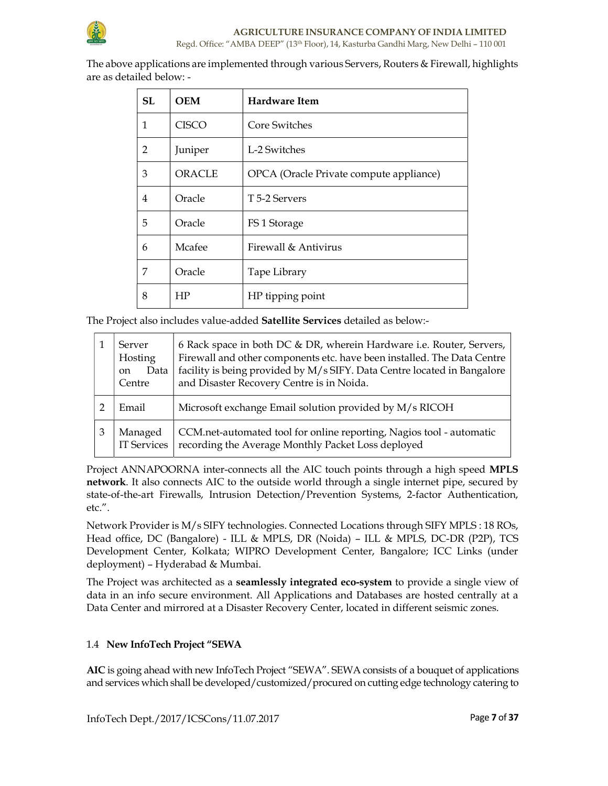

The above applications are implemented through various Servers, Routers & Firewall, highlights are as detailed below: -

| SL | <b>OEM</b>    | <b>Hardware Item</b>                    |
|----|---------------|-----------------------------------------|
| 1  | <b>CISCO</b>  | Core Switches                           |
| 2  | Juniper       | L-2 Switches                            |
| 3  | <b>ORACLE</b> | OPCA (Oracle Private compute appliance) |
| 4  | Oracle        | T 5-2 Servers                           |
| 5  | Oracle        | FS 1 Storage                            |
| 6  | Mcafee        | Firewall & Antivirus                    |
| 7  | Oracle        | Tape Library                            |
| 8  | HP            | HP tipping point                        |

The Project also includes value-added Satellite Services detailed as below:-

|   | Server<br>Hosting<br>Data<br><sub>on</sub><br>Centre | 6 Rack space in both DC & DR, wherein Hardware i.e. Router, Servers,<br>Firewall and other components etc. have been installed. The Data Centre<br>facility is being provided by M/s SIFY. Data Centre located in Bangalore<br>and Disaster Recovery Centre is in Noida. |
|---|------------------------------------------------------|--------------------------------------------------------------------------------------------------------------------------------------------------------------------------------------------------------------------------------------------------------------------------|
|   | Email                                                | Microsoft exchange Email solution provided by M/s RICOH                                                                                                                                                                                                                  |
| З | Managed<br><b>IT Services</b>                        | CCM.net-automated tool for online reporting, Nagios tool - automatic<br>recording the Average Monthly Packet Loss deployed                                                                                                                                               |

Project ANNAPOORNA inter-connects all the AIC touch points through a high speed MPLS network. It also connects AIC to the outside world through a single internet pipe, secured by state-of-the-art Firewalls, Intrusion Detection/Prevention Systems, 2-factor Authentication, etc.".

Network Provider is M/s SIFY technologies. Connected Locations through SIFY MPLS : 18 ROs, Head office, DC (Bangalore) - ILL & MPLS, DR (Noida) – ILL & MPLS, DC-DR (P2P), TCS Development Center, Kolkata; WIPRO Development Center, Bangalore; ICC Links (under deployment) – Hyderabad & Mumbai.

The Project was architected as a **seamlessly integrated eco-system** to provide a single view of data in an info secure environment. All Applications and Databases are hosted centrally at a Data Center and mirrored at a Disaster Recovery Center, located in different seismic zones.

# 1.4 New InfoTech Project "SEWA

AIC is going ahead with new InfoTech Project "SEWA". SEWA consists of a bouquet of applications and services which shall be developed/customized/procured on cutting edge technology catering to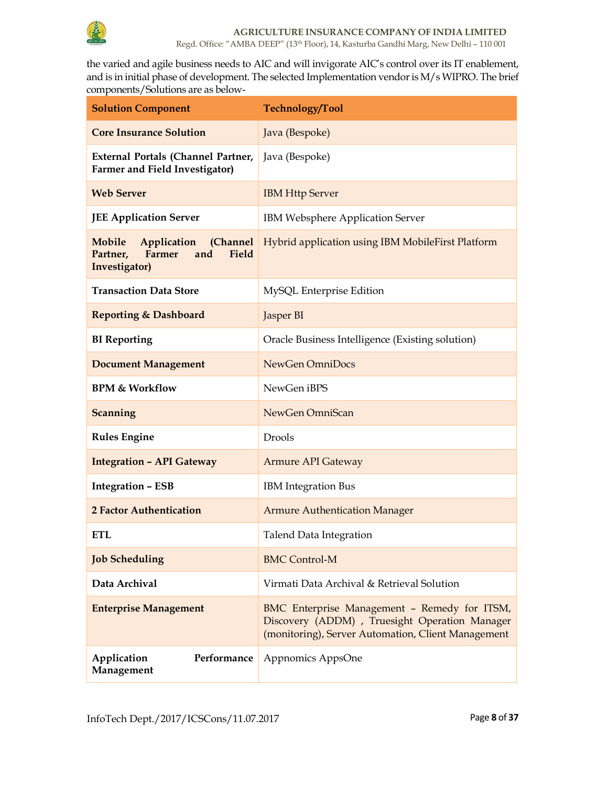

the varied and agile business needs to AIC and will invigorate AIC's control over its IT enablement, and is in initial phase of development. The selected Implementation vendor is M/s WIPRO. The brief components/Solutions are as below-

| <b>Solution Component</b>                                                             | Technology/Tool                                                                                                                                      |  |
|---------------------------------------------------------------------------------------|------------------------------------------------------------------------------------------------------------------------------------------------------|--|
| <b>Core Insurance Solution</b>                                                        | Java (Bespoke)                                                                                                                                       |  |
| External Portals (Channel Partner,<br>Farmer and Field Investigator)                  | Java (Bespoke)                                                                                                                                       |  |
| <b>Web Server</b>                                                                     | <b>IBM Http Server</b>                                                                                                                               |  |
| <b>JEE Application Server</b>                                                         | IBM Websphere Application Server                                                                                                                     |  |
| Application (Channel<br>Mobile<br>Partner,<br>Farmer<br>and<br>Field<br>Investigator) | Hybrid application using IBM MobileFirst Platform                                                                                                    |  |
| <b>Transaction Data Store</b>                                                         | MySQL Enterprise Edition                                                                                                                             |  |
| <b>Reporting &amp; Dashboard</b>                                                      | Jasper BI                                                                                                                                            |  |
| <b>BI</b> Reporting                                                                   | Oracle Business Intelligence (Existing solution)                                                                                                     |  |
| <b>Document Management</b>                                                            | NewGen OmniDocs                                                                                                                                      |  |
| <b>BPM &amp; Workflow</b>                                                             | NewGen iBPS                                                                                                                                          |  |
| Scanning                                                                              | NewGen OmniScan                                                                                                                                      |  |
| <b>Rules Engine</b>                                                                   | Drools                                                                                                                                               |  |
| <b>Integration - API Gateway</b>                                                      | <b>Armure API Gateway</b>                                                                                                                            |  |
| <b>Integration - ESB</b>                                                              | <b>IBM</b> Integration Bus                                                                                                                           |  |
| <b>2 Factor Authentication</b>                                                        | <b>Armure Authentication Manager</b>                                                                                                                 |  |
| ETL                                                                                   | <b>Talend Data Integration</b>                                                                                                                       |  |
| <b>Job Scheduling</b>                                                                 | <b>BMC Control-M</b>                                                                                                                                 |  |
| Data Archival                                                                         | Virmati Data Archival & Retrieval Solution                                                                                                           |  |
| <b>Enterprise Management</b>                                                          | BMC Enterprise Management - Remedy for ITSM,<br>Discovery (ADDM) , Truesight Operation Manager<br>(monitoring), Server Automation, Client Management |  |
| Performance<br>Application<br>Management                                              | Appnomics AppsOne                                                                                                                                    |  |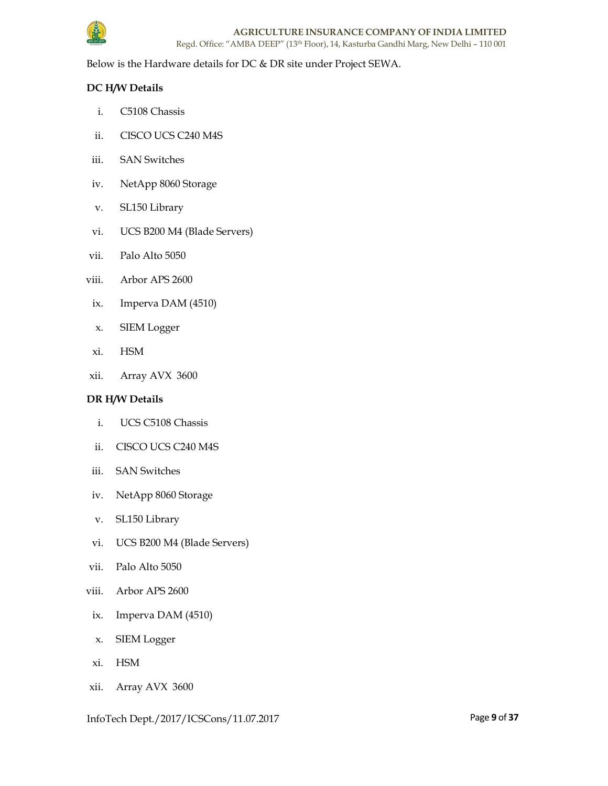

Below is the Hardware details for DC & DR site under Project SEWA.

# DC H/W Details

- i. C5108 Chassis
- ii. CISCO UCS C240 M4S
- iii. SAN Switches
- iv. NetApp 8060 Storage
- v. SL150 Library
- vi. UCS B200 M4 (Blade Servers)
- vii. Palo Alto 5050
- viii. Arbor APS 2600
- ix. Imperva DAM (4510)
- x. SIEM Logger
- xi. HSM
- xii. Array AVX 3600

### DR H/W Details

- i. UCS C5108 Chassis
- ii. CISCO UCS C240 M4S
- iii. SAN Switches
- iv. NetApp 8060 Storage
- v. SL150 Library
- vi. UCS B200 M4 (Blade Servers)
- vii. Palo Alto 5050
- viii. Arbor APS 2600
- ix. Imperva DAM (4510)
- x. SIEM Logger
- xi. HSM
- xii. Array AVX 3600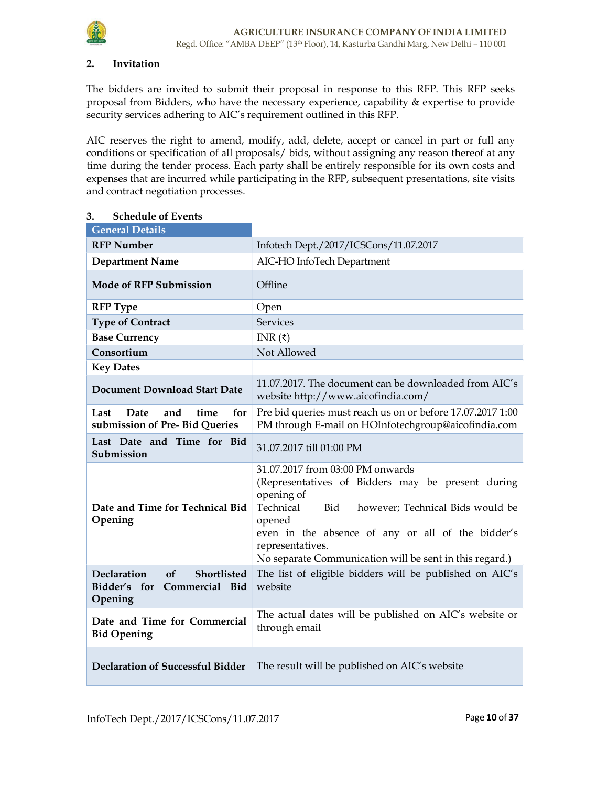

### 2. Invitation

The bidders are invited to submit their proposal in response to this RFP. This RFP seeks proposal from Bidders, who have the necessary experience, capability & expertise to provide security services adhering to AIC's requirement outlined in this RFP.

AIC reserves the right to amend, modify, add, delete, accept or cancel in part or full any conditions or specification of all proposals/ bids, without assigning any reason thereof at any time during the tender process. Each party shall be entirely responsible for its own costs and expenses that are incurred while participating in the RFP, subsequent presentations, site visits and contract negotiation processes.

| <b>Schedule of Events</b><br>3.                                                   |                                                                                                                                                                                                                                                                                                           |  |  |
|-----------------------------------------------------------------------------------|-----------------------------------------------------------------------------------------------------------------------------------------------------------------------------------------------------------------------------------------------------------------------------------------------------------|--|--|
| <b>General Details</b>                                                            |                                                                                                                                                                                                                                                                                                           |  |  |
| <b>RFP Number</b>                                                                 | Infotech Dept./2017/ICSCons/11.07.2017                                                                                                                                                                                                                                                                    |  |  |
| <b>Department Name</b>                                                            | AIC-HO InfoTech Department                                                                                                                                                                                                                                                                                |  |  |
| <b>Mode of RFP Submission</b>                                                     | Offline                                                                                                                                                                                                                                                                                                   |  |  |
| <b>RFP</b> Type                                                                   | Open                                                                                                                                                                                                                                                                                                      |  |  |
| <b>Type of Contract</b>                                                           | <b>Services</b>                                                                                                                                                                                                                                                                                           |  |  |
| <b>Base Currency</b>                                                              | INR $(\bar{z})$                                                                                                                                                                                                                                                                                           |  |  |
| Consortium                                                                        | Not Allowed                                                                                                                                                                                                                                                                                               |  |  |
| <b>Key Dates</b>                                                                  |                                                                                                                                                                                                                                                                                                           |  |  |
| <b>Document Download Start Date</b>                                               | 11.07.2017. The document can be downloaded from AIC's<br>website http://www.aicofindia.com/                                                                                                                                                                                                               |  |  |
| Last<br>Date<br>and<br>time<br>for<br>submission of Pre-Bid Queries               | Pre bid queries must reach us on or before 17.07.2017 1:00<br>PM through E-mail on HOInfotechgroup@aicofindia.com                                                                                                                                                                                         |  |  |
| Last Date and Time for Bid<br>Submission                                          | 31.07.2017 till 01:00 PM                                                                                                                                                                                                                                                                                  |  |  |
| Date and Time for Technical Bid<br>Opening                                        | 31.07.2017 from 03:00 PM onwards<br>(Representatives of Bidders may be present during<br>opening of<br>Technical<br>Bid<br>however; Technical Bids would be<br>opened<br>even in the absence of any or all of the bidder's<br>representatives.<br>No separate Communication will be sent in this regard.) |  |  |
| <b>Declaration</b><br>of<br>Shortlisted<br>Bidder's for Commercial Bid<br>Opening | The list of eligible bidders will be published on AIC's<br>website                                                                                                                                                                                                                                        |  |  |
| Date and Time for Commercial<br><b>Bid Opening</b>                                | The actual dates will be published on AIC's website or<br>through email                                                                                                                                                                                                                                   |  |  |
| <b>Declaration of Successful Bidder</b>                                           | The result will be published on AIC's website                                                                                                                                                                                                                                                             |  |  |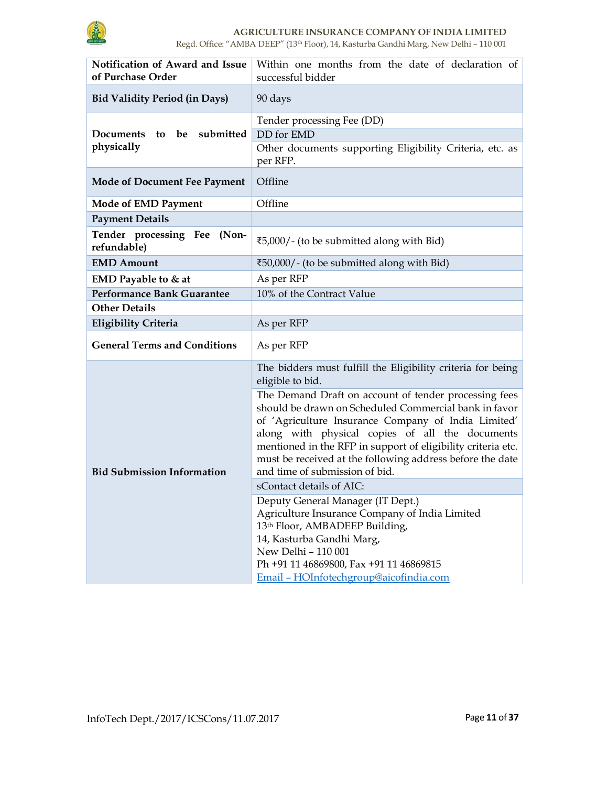

# AGRICULTURE INSURANCE COMPANY OF INDIA LIMITED

Regd. Office: "AMBA DEEP" (13th Floor), 14, Kasturba Gandhi Marg, New Delhi – 110 001

| Notification of Award and Issue<br>of Purchase Order | Within one months from the date of declaration of<br>successful bidder                                                                                                                                                                                                                                                                                                                  |  |  |
|------------------------------------------------------|-----------------------------------------------------------------------------------------------------------------------------------------------------------------------------------------------------------------------------------------------------------------------------------------------------------------------------------------------------------------------------------------|--|--|
| <b>Bid Validity Period (in Days)</b>                 | 90 days                                                                                                                                                                                                                                                                                                                                                                                 |  |  |
| be submitted<br><b>Documents</b><br>to<br>physically | Tender processing Fee (DD)<br>DD for EMD<br>Other documents supporting Eligibility Criteria, etc. as<br>per RFP.                                                                                                                                                                                                                                                                        |  |  |
| <b>Mode of Document Fee Payment</b>                  | Offline                                                                                                                                                                                                                                                                                                                                                                                 |  |  |
| <b>Mode of EMD Payment</b>                           | Offline                                                                                                                                                                                                                                                                                                                                                                                 |  |  |
| <b>Payment Details</b>                               |                                                                                                                                                                                                                                                                                                                                                                                         |  |  |
| Tender processing Fee<br>(Non-<br>refundable)        | ₹5,000/- (to be submitted along with Bid)                                                                                                                                                                                                                                                                                                                                               |  |  |
| <b>EMD Amount</b>                                    | ₹50,000/ - (to be submitted along with Bid)                                                                                                                                                                                                                                                                                                                                             |  |  |
| EMD Payable to & at                                  | As per RFP                                                                                                                                                                                                                                                                                                                                                                              |  |  |
| Performance Bank Guarantee                           | 10% of the Contract Value                                                                                                                                                                                                                                                                                                                                                               |  |  |
| <b>Other Details</b>                                 |                                                                                                                                                                                                                                                                                                                                                                                         |  |  |
| <b>Eligibility Criteria</b>                          | As per RFP                                                                                                                                                                                                                                                                                                                                                                              |  |  |
| <b>General Terms and Conditions</b>                  | As per RFP                                                                                                                                                                                                                                                                                                                                                                              |  |  |
|                                                      | The bidders must fulfill the Eligibility criteria for being<br>eligible to bid.                                                                                                                                                                                                                                                                                                         |  |  |
| <b>Bid Submission Information</b>                    | The Demand Draft on account of tender processing fees<br>should be drawn on Scheduled Commercial bank in favor<br>of 'Agriculture Insurance Company of India Limited'<br>along with physical copies of all the documents<br>mentioned in the RFP in support of eligibility criteria etc.<br>must be received at the following address before the date<br>and time of submission of bid. |  |  |
|                                                      | sContact details of AIC:                                                                                                                                                                                                                                                                                                                                                                |  |  |
|                                                      | Deputy General Manager (IT Dept.)<br>Agriculture Insurance Company of India Limited<br>13th Floor, AMBADEEP Building,<br>14, Kasturba Gandhi Marg,<br>New Delhi - 110 001<br>Ph +91 11 46869800, Fax +91 11 46869815<br>Email - HOInfotechgroup@aicofindia.com                                                                                                                          |  |  |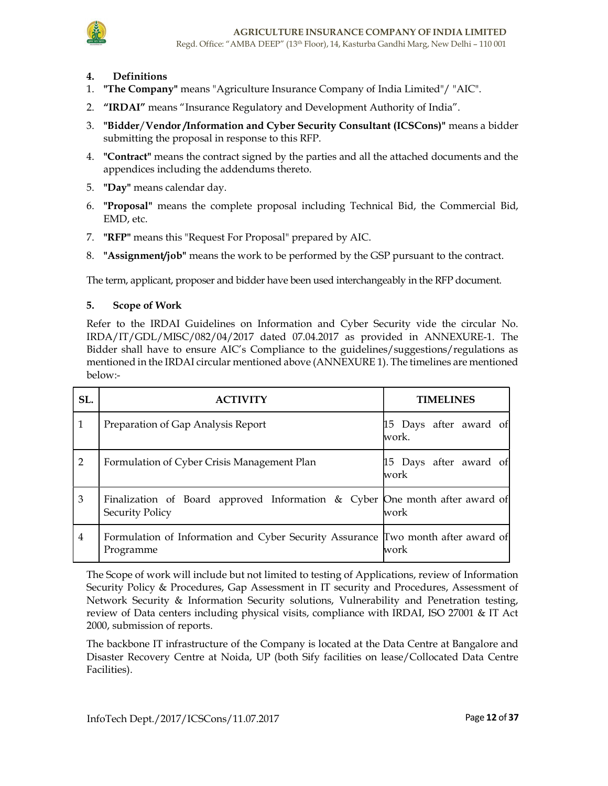

- 4. Definitions
- 1. "The Company" means "Agriculture Insurance Company of India Limited"/ "AIC".
- 2. "IRDAI" means "Insurance Regulatory and Development Authority of India".
- 3. "Bidder/Vendor /Information and Cyber Security Consultant (ICSCons)" means a bidder submitting the proposal in response to this RFP.
- 4. "Contract" means the contract signed by the parties and all the attached documents and the appendices including the addendums thereto.
- 5. "Day" means calendar day.
- 6. "Proposal" means the complete proposal including Technical Bid, the Commercial Bid, EMD, etc.
- 7. "RFP" means this "Request For Proposal" prepared by AIC.
- 8. "Assignment/job" means the work to be performed by the GSP pursuant to the contract.

The term, applicant, proposer and bidder have been used interchangeably in the RFP document.

### 5. Scope of Work

Refer to the IRDAI Guidelines on Information and Cyber Security vide the circular No. IRDA/IT/GDL/MISC/082/04/2017 dated 07.04.2017 as provided in ANNEXURE-1. The Bidder shall have to ensure AIC's Compliance to the guidelines/suggestions/regulations as mentioned in the IRDAI circular mentioned above (ANNEXURE 1). The timelines are mentioned below:-

| SL.            |                                                                                                       | <b>TIMELINES</b>                 |
|----------------|-------------------------------------------------------------------------------------------------------|----------------------------------|
| 1              | Preparation of Gap Analysis Report                                                                    | 15 Days after award of<br>lwork. |
| $\overline{2}$ | Formulation of Cyber Crisis Management Plan                                                           | 15 Days after award of<br>work.  |
| 3              | Finalization of Board approved Information & Cyber One month after award of<br><b>Security Policy</b> | work                             |
| $\overline{4}$ | Formulation of Information and Cyber Security Assurance Two month after award of<br>Programme         | work                             |

The Scope of work will include but not limited to testing of Applications, review of Information Security Policy & Procedures, Gap Assessment in IT security and Procedures, Assessment of Network Security & Information Security solutions, Vulnerability and Penetration testing, review of Data centers including physical visits, compliance with IRDAI, ISO 27001 & IT Act 2000, submission of reports.

The backbone IT infrastructure of the Company is located at the Data Centre at Bangalore and Disaster Recovery Centre at Noida, UP (both Sify facilities on lease/Collocated Data Centre Facilities).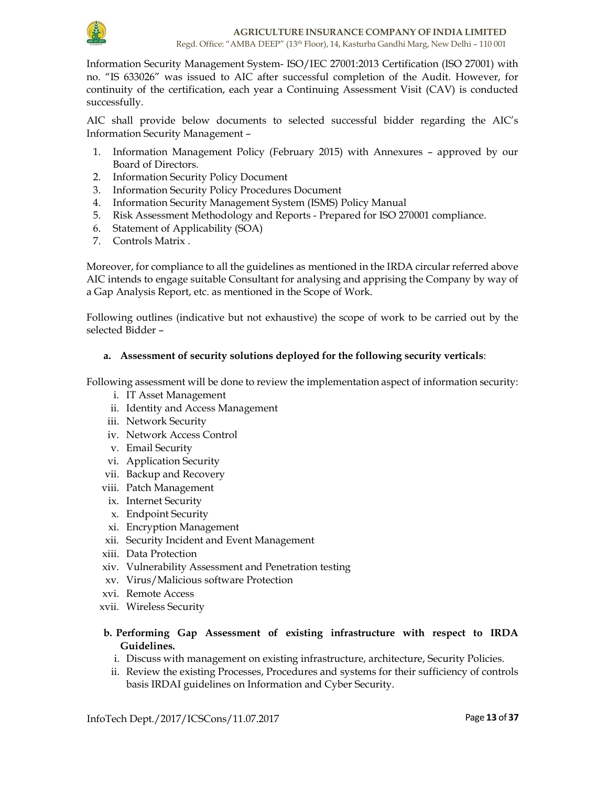

Information Security Management System- ISO/IEC 27001:2013 Certification (ISO 27001) with no. "IS 633026" was issued to AIC after successful completion of the Audit. However, for continuity of the certification, each year a Continuing Assessment Visit (CAV) is conducted successfully.

AIC shall provide below documents to selected successful bidder regarding the AIC's Information Security Management –

- 1. Information Management Policy (February 2015) with Annexures approved by our Board of Directors.
- 2. Information Security Policy Document
- 3. Information Security Policy Procedures Document
- 4. Information Security Management System (ISMS) Policy Manual
- 5. Risk Assessment Methodology and Reports Prepared for ISO 270001 compliance.
- 6. Statement of Applicability (SOA)
- 7. Controls Matrix .

Moreover, for compliance to all the guidelines as mentioned in the IRDA circular referred above AIC intends to engage suitable Consultant for analysing and apprising the Company by way of a Gap Analysis Report, etc. as mentioned in the Scope of Work.

Following outlines (indicative but not exhaustive) the scope of work to be carried out by the selected Bidder –

### a. Assessment of security solutions deployed for the following security verticals:

Following assessment will be done to review the implementation aspect of information security:

- i. IT Asset Management
- ii. Identity and Access Management
- iii. Network Security
- iv. Network Access Control
- v. Email Security
- vi. Application Security
- vii. Backup and Recovery
- viii. Patch Management
- ix. Internet Security
- x. Endpoint Security
- xi. Encryption Management
- xii. Security Incident and Event Management
- xiii. Data Protection
- xiv. Vulnerability Assessment and Penetration testing
- xv. Virus/Malicious software Protection
- xvi. Remote Access
- xvii. Wireless Security

### b. Performing Gap Assessment of existing infrastructure with respect to IRDA Guidelines.

- i. Discuss with management on existing infrastructure, architecture, Security Policies.
- ii. Review the existing Processes, Procedures and systems for their sufficiency of controls basis IRDAI guidelines on Information and Cyber Security.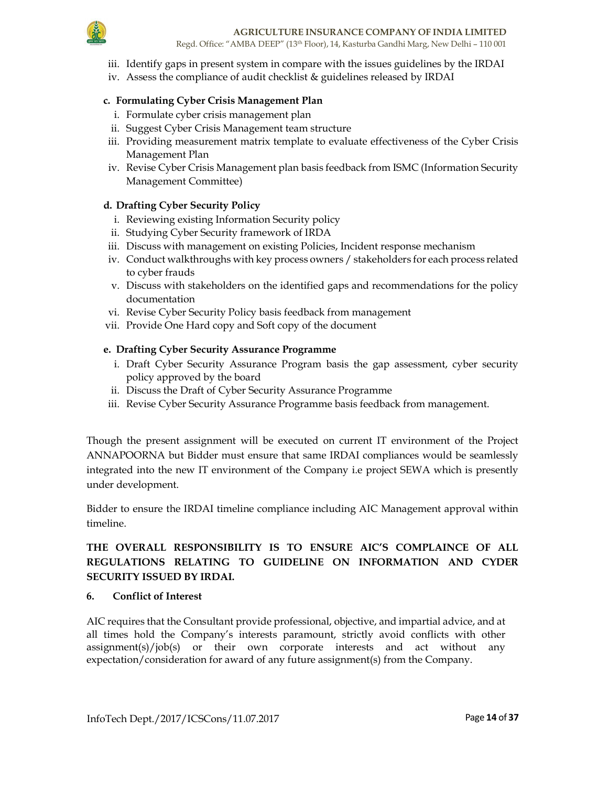

- iii. Identify gaps in present system in compare with the issues guidelines by the IRDAI
- iv. Assess the compliance of audit checklist & guidelines released by IRDAI

# c. Formulating Cyber Crisis Management Plan

- i. Formulate cyber crisis management plan
- ii. Suggest Cyber Crisis Management team structure
- iii. Providing measurement matrix template to evaluate effectiveness of the Cyber Crisis Management Plan
- iv. Revise Cyber Crisis Management plan basis feedback from ISMC (Information Security Management Committee)

# d. Drafting Cyber Security Policy

- i. Reviewing existing Information Security policy
- ii. Studying Cyber Security framework of IRDA
- iii. Discuss with management on existing Policies, Incident response mechanism
- iv. Conduct walkthroughs with key process owners / stakeholders for each process related to cyber frauds
- v. Discuss with stakeholders on the identified gaps and recommendations for the policy documentation
- vi. Revise Cyber Security Policy basis feedback from management
- vii. Provide One Hard copy and Soft copy of the document

# e. Drafting Cyber Security Assurance Programme

- i. Draft Cyber Security Assurance Program basis the gap assessment, cyber security policy approved by the board
- ii. Discuss the Draft of Cyber Security Assurance Programme
- iii. Revise Cyber Security Assurance Programme basis feedback from management.

Though the present assignment will be executed on current IT environment of the Project ANNAPOORNA but Bidder must ensure that same IRDAI compliances would be seamlessly integrated into the new IT environment of the Company i.e project SEWA which is presently under development.

Bidder to ensure the IRDAI timeline compliance including AIC Management approval within timeline.

# THE OVERALL RESPONSIBILITY IS TO ENSURE AIC'S COMPLAINCE OF ALL REGULATIONS RELATING TO GUIDELINE ON INFORMATION AND CYDER SECURITY ISSUED BY IRDAI.

### 6. Conflict of Interest

AIC requires that the Consultant provide professional, objective, and impartial advice, and at all times hold the Company's interests paramount, strictly avoid conflicts with other assignment(s)/job(s) or their own corporate interests and act without any expectation/consideration for award of any future assignment(s) from the Company.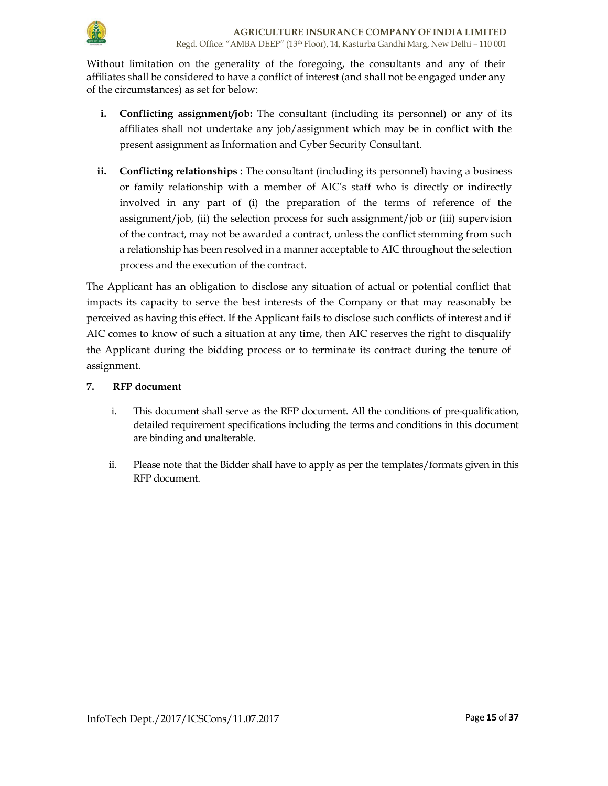

Without limitation on the generality of the foregoing, the consultants and any of their affiliates shall be considered to have a conflict of interest (and shall not be engaged under any of the circumstances) as set for below:

- i. Conflicting assignment/job: The consultant (including its personnel) or any of its affiliates shall not undertake any job/assignment which may be in conflict with the present assignment as Information and Cyber Security Consultant.
- ii. Conflicting relationships : The consultant (including its personnel) having a business or family relationship with a member of AIC's staff who is directly or indirectly involved in any part of (i) the preparation of the terms of reference of the assignment/job, (ii) the selection process for such assignment/job or (iii) supervision of the contract, may not be awarded a contract, unless the conflict stemming from such a relationship has been resolved in a manner acceptable to AIC throughout the selection process and the execution of the contract.

The Applicant has an obligation to disclose any situation of actual or potential conflict that impacts its capacity to serve the best interests of the Company or that may reasonably be perceived as having this effect. If the Applicant fails to disclose such conflicts of interest and if AIC comes to know of such a situation at any time, then AIC reserves the right to disqualify the Applicant during the bidding process or to terminate its contract during the tenure of assignment.

# 7. RFP document

- i. This document shall serve as the RFP document. All the conditions of pre-qualification, detailed requirement specifications including the terms and conditions in this document are binding and unalterable.
- ii. Please note that the Bidder shall have to apply as per the templates/formats given in this RFP document.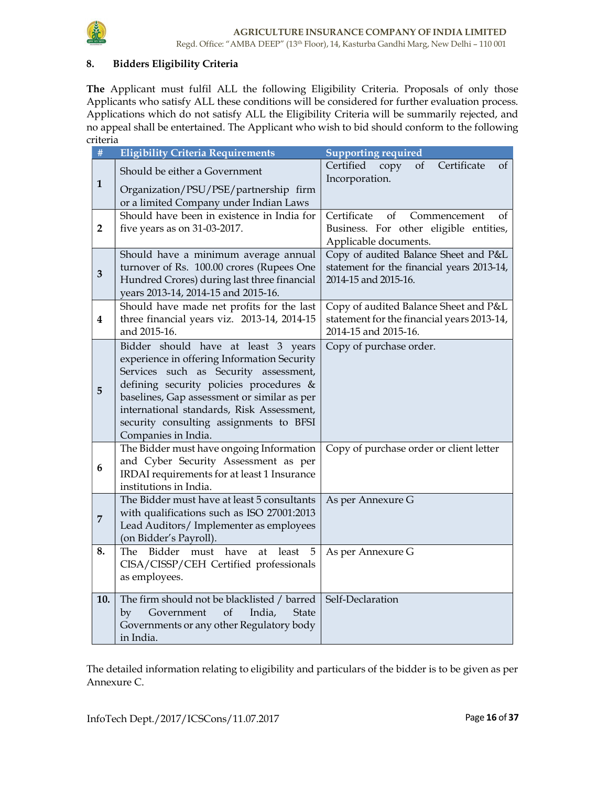

# 8. Bidders Eligibility Criteria

The Applicant must fulfil ALL the following Eligibility Criteria. Proposals of only those Applicants who satisfy ALL these conditions will be considered for further evaluation process. Applications which do not satisfy ALL the Eligibility Criteria will be summarily rejected, and no appeal shall be entertained. The Applicant who wish to bid should conform to the following criteria

| $\#$           | <b>Eligibility Criteria Requirements</b>                                                 | <b>Supporting required</b>                                                          |  |  |
|----------------|------------------------------------------------------------------------------------------|-------------------------------------------------------------------------------------|--|--|
|                | Should be either a Government                                                            | Certificate<br>Certified<br>of<br>copy<br>οf<br>Incorporation.                      |  |  |
| $\mathbf{1}$   | Organization/PSU/PSE/partnership firm<br>or a limited Company under Indian Laws          |                                                                                     |  |  |
|                | Should have been in existence in India for                                               | Certificate<br>of<br>Commencement<br>οf                                             |  |  |
| $\overline{2}$ | five years as on 31-03-2017.                                                             | Business. For other eligible entities,                                              |  |  |
|                |                                                                                          | Applicable documents.                                                               |  |  |
|                | Should have a minimum average annual                                                     | Copy of audited Balance Sheet and P&L                                               |  |  |
| 3              | turnover of Rs. 100.00 crores (Rupees One                                                | statement for the financial years 2013-14,                                          |  |  |
|                | Hundred Crores) during last three financial                                              | 2014-15 and 2015-16.                                                                |  |  |
|                | years 2013-14, 2014-15 and 2015-16.<br>Should have made net profits for the last         |                                                                                     |  |  |
| 4              | three financial years viz. 2013-14, 2014-15                                              | Copy of audited Balance Sheet and P&L<br>statement for the financial years 2013-14, |  |  |
|                | and 2015-16.                                                                             | 2014-15 and 2015-16.                                                                |  |  |
|                | Bidder should have at least 3 years                                                      | Copy of purchase order.                                                             |  |  |
|                | experience in offering Information Security                                              |                                                                                     |  |  |
|                | Services such as Security assessment,                                                    |                                                                                     |  |  |
| 5              | defining security policies procedures &                                                  |                                                                                     |  |  |
|                | baselines, Gap assessment or similar as per<br>international standards, Risk Assessment, |                                                                                     |  |  |
|                | security consulting assignments to BFSI                                                  |                                                                                     |  |  |
|                | Companies in India.                                                                      |                                                                                     |  |  |
|                | The Bidder must have ongoing Information                                                 | Copy of purchase order or client letter                                             |  |  |
| 6              | and Cyber Security Assessment as per                                                     |                                                                                     |  |  |
|                | IRDAI requirements for at least 1 Insurance                                              |                                                                                     |  |  |
|                | institutions in India.<br>The Bidder must have at least 5 consultants                    | As per Annexure G                                                                   |  |  |
|                | with qualifications such as ISO 27001:2013                                               |                                                                                     |  |  |
| $\overline{7}$ | Lead Auditors/ Implementer as employees                                                  |                                                                                     |  |  |
|                | (on Bidder's Payroll).                                                                   |                                                                                     |  |  |
| 8.             | The Bidder must<br>have<br>5<br>at<br>least                                              | As per Annexure G                                                                   |  |  |
|                | CISA/CISSP/CEH Certified professionals                                                   |                                                                                     |  |  |
|                | as employees.                                                                            |                                                                                     |  |  |
| 10.            | The firm should not be blacklisted / barred                                              | Self-Declaration                                                                    |  |  |
|                | by<br>Government<br>of<br>India,<br><b>State</b>                                         |                                                                                     |  |  |
|                | Governments or any other Regulatory body                                                 |                                                                                     |  |  |
|                | in India.                                                                                |                                                                                     |  |  |

The detailed information relating to eligibility and particulars of the bidder is to be given as per Annexure C.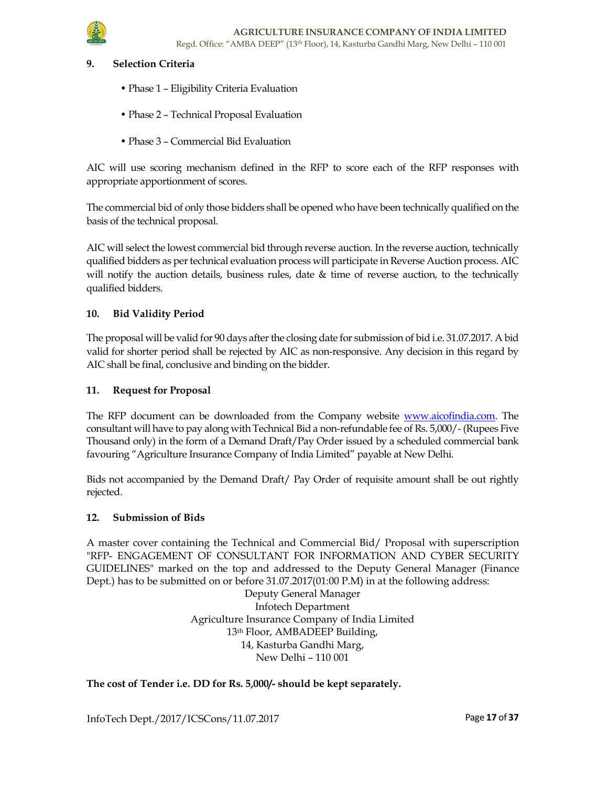

### **Selection Criteria**

- Phase 1 Eligibility Criteria Evaluation
- Phase 2 Technical Proposal Evaluation
- Phase 3 Commercial Bid Evaluation

AIC will use scoring mechanism defined in the RFP to score each of the RFP responses with appropriate apportionment of scores.

The commercial bid of only those bidders shall be opened who have been technically qualified on the basis of the technical proposal.

AIC will select the lowest commercial bid through reverse auction. In the reverse auction, technically qualified bidders as per technical evaluation process will participate in Reverse Auction process. AIC will notify the auction details, business rules, date & time of reverse auction, to the technically qualified bidders.

### 10. Bid Validity Period

The proposal will be valid for 90 days after the closing date for submission of bid i.e. 31.07.2017. A bid valid for shorter period shall be rejected by AIC as non-responsive. Any decision in this regard by AIC shall be final, conclusive and binding on the bidder.

### 11. Request for Proposal

The RFP document can be downloaded from the Company website www.aicofindia.com. The consultant will have to pay along with Technical Bid a non-refundable fee of Rs. 5,000/- (Rupees Five Thousand only) in the form of a Demand Draft/Pay Order issued by a scheduled commercial bank favouring "Agriculture Insurance Company of India Limited" payable at New Delhi.

Bids not accompanied by the Demand Draft/ Pay Order of requisite amount shall be out rightly rejected.

### 12. Submission of Bids

A master cover containing the Technical and Commercial Bid/ Proposal with superscription "RFP- ENGAGEMENT OF CONSULTANT FOR INFORMATION AND CYBER SECURITY GUIDELINES" marked on the top and addressed to the Deputy General Manager (Finance Dept.) has to be submitted on or before 31.07.2017(01:00 P.M) in at the following address:

> Deputy General Manager Infotech Department Agriculture Insurance Company of India Limited 13th Floor, AMBADEEP Building, 14, Kasturba Gandhi Marg, New Delhi – 110 001

### The cost of Tender i.e. DD for Rs. 5,000/- should be kept separately.

InfoTech Dept./2017/ICSCons/11.07.2017 17 and the Page 17 of 37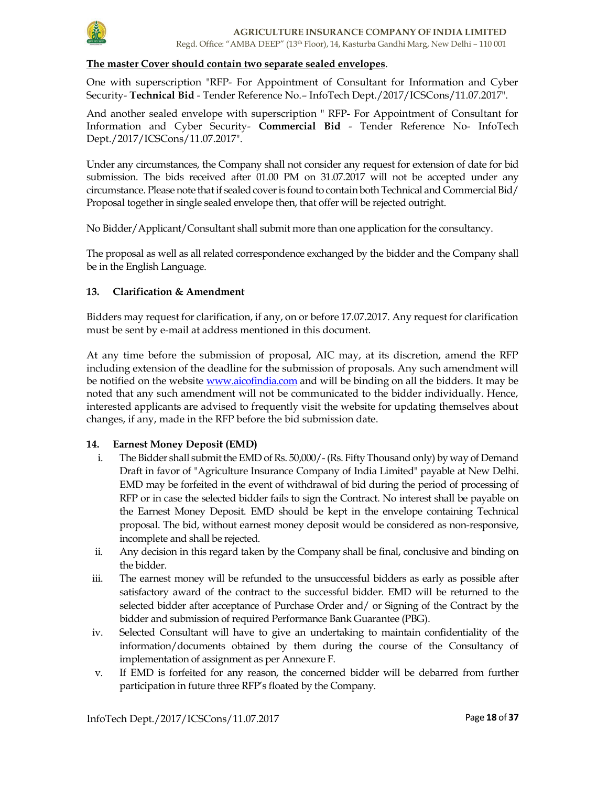

### The master Cover should contain two separate sealed envelopes.

One with superscription "RFP- For Appointment of Consultant for Information and Cyber Security- Technical Bid - Tender Reference No.– InfoTech Dept./2017/ICSCons/11.07.2017".

And another sealed envelope with superscription " RFP- For Appointment of Consultant for Information and Cyber Security- Commercial Bid - Tender Reference No- InfoTech Dept./2017/ICSCons/11.07.2017".

Under any circumstances, the Company shall not consider any request for extension of date for bid submission. The bids received after 01.00 PM on 31.07.2017 will not be accepted under any circumstance. Please note that if sealed cover is found to contain both Technical and Commercial Bid/ Proposal together in single sealed envelope then, that offer will be rejected outright.

No Bidder/Applicant/Consultant shall submit more than one application for the consultancy.

The proposal as well as all related correspondence exchanged by the bidder and the Company shall be in the English Language.

### 13. Clarification & Amendment

Bidders may request for clarification, if any, on or before 17.07.2017. Any request for clarification must be sent by e-mail at address mentioned in this document.

At any time before the submission of proposal, AIC may, at its discretion, amend the RFP including extension of the deadline for the submission of proposals. Any such amendment will be notified on the website www.aicofindia.com and will be binding on all the bidders. It may be noted that any such amendment will not be communicated to the bidder individually. Hence, interested applicants are advised to frequently visit the website for updating themselves about changes, if any, made in the RFP before the bid submission date.

#### 14. Earnest Money Deposit (EMD)

- i. The Bidder shall submit the EMD of Rs. 50,000/- (Rs. Fifty Thousand only) by way of Demand Draft in favor of "Agriculture Insurance Company of India Limited" payable at New Delhi. EMD may be forfeited in the event of withdrawal of bid during the period of processing of RFP or in case the selected bidder fails to sign the Contract. No interest shall be payable on the Earnest Money Deposit. EMD should be kept in the envelope containing Technical proposal. The bid, without earnest money deposit would be considered as non-responsive, incomplete and shall be rejected.
- ii. Any decision in this regard taken by the Company shall be final, conclusive and binding on the bidder.
- iii. The earnest money will be refunded to the unsuccessful bidders as early as possible after satisfactory award of the contract to the successful bidder. EMD will be returned to the selected bidder after acceptance of Purchase Order and/ or Signing of the Contract by the bidder and submission of required Performance Bank Guarantee (PBG).
- iv. Selected Consultant will have to give an undertaking to maintain confidentiality of the information/documents obtained by them during the course of the Consultancy of implementation of assignment as per Annexure F.
- v. If EMD is forfeited for any reason, the concerned bidder will be debarred from further participation in future three RFP's floated by the Company.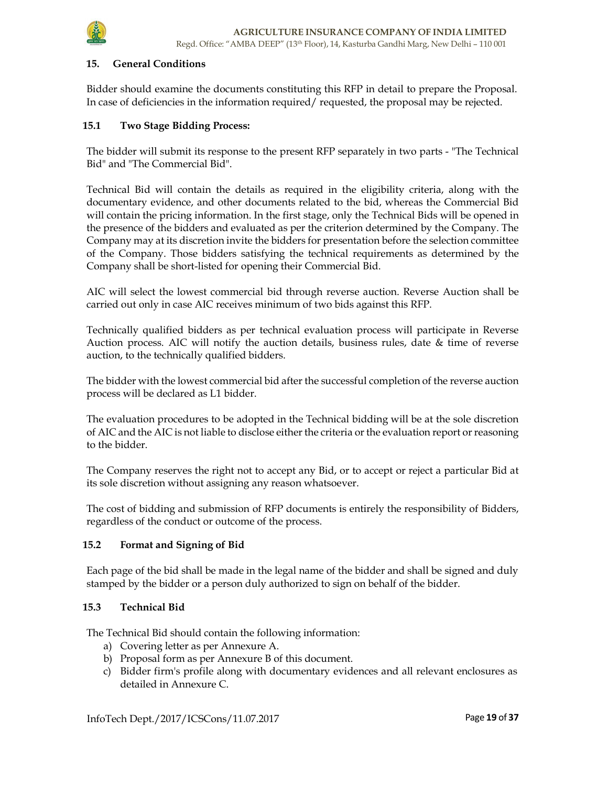

### 15. General Conditions

Bidder should examine the documents constituting this RFP in detail to prepare the Proposal. In case of deficiencies in the information required/ requested, the proposal may be rejected.

### 15.1 Two Stage Bidding Process:

The bidder will submit its response to the present RFP separately in two parts - "The Technical Bid" and "The Commercial Bid".

Technical Bid will contain the details as required in the eligibility criteria, along with the documentary evidence, and other documents related to the bid, whereas the Commercial Bid will contain the pricing information. In the first stage, only the Technical Bids will be opened in the presence of the bidders and evaluated as per the criterion determined by the Company. The Company may at its discretion invite the bidders for presentation before the selection committee of the Company. Those bidders satisfying the technical requirements as determined by the Company shall be short-listed for opening their Commercial Bid.

AIC will select the lowest commercial bid through reverse auction. Reverse Auction shall be carried out only in case AIC receives minimum of two bids against this RFP.

Technically qualified bidders as per technical evaluation process will participate in Reverse Auction process. AIC will notify the auction details, business rules, date & time of reverse auction, to the technically qualified bidders.

The bidder with the lowest commercial bid after the successful completion of the reverse auction process will be declared as L1 bidder.

The evaluation procedures to be adopted in the Technical bidding will be at the sole discretion of AIC and the AIC is not liable to disclose either the criteria or the evaluation report or reasoning to the bidder.

The Company reserves the right not to accept any Bid, or to accept or reject a particular Bid at its sole discretion without assigning any reason whatsoever.

The cost of bidding and submission of RFP documents is entirely the responsibility of Bidders, regardless of the conduct or outcome of the process.

#### 15.2 Format and Signing of Bid

Each page of the bid shall be made in the legal name of the bidder and shall be signed and duly stamped by the bidder or a person duly authorized to sign on behalf of the bidder.

#### 15.3 Technical Bid

The Technical Bid should contain the following information:

- a) Covering letter as per Annexure A.
- b) Proposal form as per Annexure B of this document.
- c) Bidder firm's profile along with documentary evidences and all relevant enclosures as detailed in Annexure C.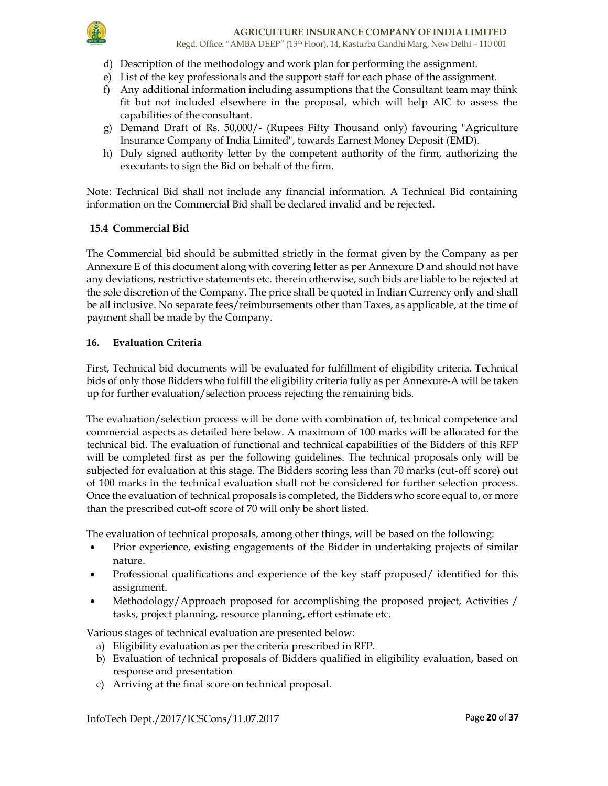

- d) Description of the methodology and work plan for performing the assignment.
- e) List of the key professionals and the support staff for each phase of the assignment.
- f) Any additional information including assumptions that the Consultant team may think fit but not included elsewhere in the proposal, which will help AIC to assess the capabilities of the consultant.
- g) Demand Draft of Rs. 50,000/- (Rupees Fifty Thousand only) favouring "Agriculture Insurance Company of India Limited", towards Earnest Money Deposit (EMD).
- h) Duly signed authority letter by the competent authority of the firm, authorizing the executants to sign the Bid on behalf of the firm.

Note: Technical Bid shall not include any financial information. A Technical Bid containing information on the Commercial Bid shall be declared invalid and be rejected.

# 15.4 Commercial Bid

The Commercial bid should be submitted strictly in the format given by the Company as per Annexure E of this document along with covering letter as per Annexure D and should not have any deviations, restrictive statements etc. therein otherwise, such bids are liable to be rejected at the sole discretion of the Company. The price shall be quoted in Indian Currency only and shall be all inclusive. No separate fees/reimbursements other than Taxes, as applicable, at the time of payment shall be made by the Company.

# 16. Evaluation Criteria

First, Technical bid documents will be evaluated for fulfillment of eligibility criteria. Technical bids of only those Bidders who fulfill the eligibility criteria fully as per Annexure-A will be taken up for further evaluation/selection process rejecting the remaining bids.

The evaluation/selection process will be done with combination of, technical competence and commercial aspects as detailed here below. A maximum of 100 marks will be allocated for the technical bid. The evaluation of functional and technical capabilities of the Bidders of this RFP will be completed first as per the following guidelines. The technical proposals only will be subjected for evaluation at this stage. The Bidders scoring less than 70 marks (cut-off score) out of 100 marks in the technical evaluation shall not be considered for further selection process. Once the evaluation of technical proposals is completed, the Bidders who score equal to, or more than the prescribed cut-off score of 70 will only be short listed.

The evaluation of technical proposals, among other things, will be based on the following:

- Prior experience, existing engagements of the Bidder in undertaking projects of similar nature.
- Professional qualifications and experience of the key staff proposed/ identified for this assignment.
- Methodology/Approach proposed for accomplishing the proposed project, Activities / tasks, project planning, resource planning, effort estimate etc.

Various stages of technical evaluation are presented below:

- a) Eligibility evaluation as per the criteria prescribed in RFP.
- b) Evaluation of technical proposals of Bidders qualified in eligibility evaluation, based on response and presentation
- c) Arriving at the final score on technical proposal.

InfoTech Dept./2017/ICSCons/11.07.2017 Page 20 of 37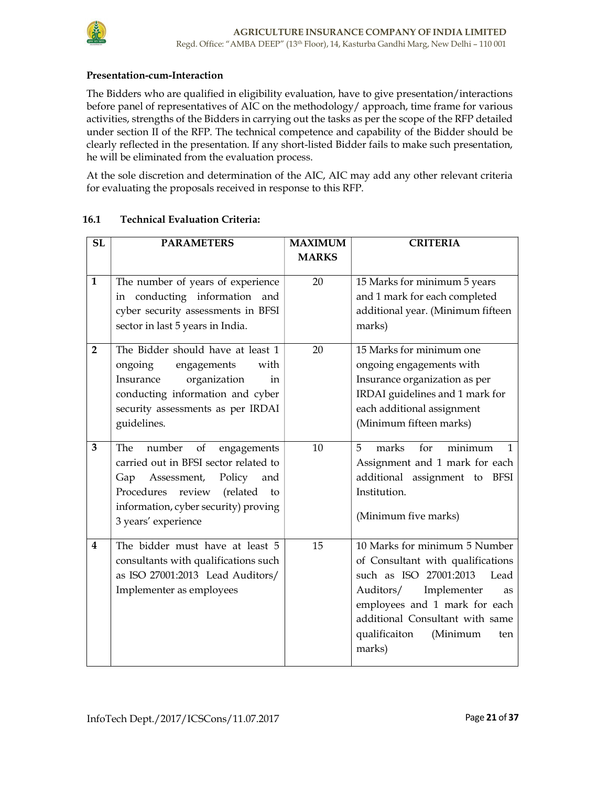# Presentation-cum-Interaction

The Bidders who are qualified in eligibility evaluation, have to give presentation/interactions before panel of representatives of AIC on the methodology/ approach, time frame for various activities, strengths of the Bidders in carrying out the tasks as per the scope of the RFP detailed under section II of the RFP. The technical competence and capability of the Bidder should be clearly reflected in the presentation. If any short-listed Bidder fails to make such presentation, he will be eliminated from the evaluation process.

At the sole discretion and determination of the AIC, AIC may add any other relevant criteria for evaluating the proposals received in response to this RFP.

| SL                             | <b>PARAMETERS</b>                                                                                                                                                                                                           | <b>MAXIMUM</b> | <b>CRITERIA</b>                                                                                                                                                                                                                                          |
|--------------------------------|-----------------------------------------------------------------------------------------------------------------------------------------------------------------------------------------------------------------------------|----------------|----------------------------------------------------------------------------------------------------------------------------------------------------------------------------------------------------------------------------------------------------------|
|                                |                                                                                                                                                                                                                             | <b>MARKS</b>   |                                                                                                                                                                                                                                                          |
| $\mathbf{1}$<br>$\overline{2}$ | The number of years of experience<br>in conducting information<br>and<br>cyber security assessments in BFSI<br>sector in last 5 years in India.<br>The Bidder should have at least 1                                        | 20<br>20       | 15 Marks for minimum 5 years<br>and 1 mark for each completed<br>additional year. (Minimum fifteen<br>marks)<br>15 Marks for minimum one                                                                                                                 |
|                                | ongoing<br>engagements<br>with<br>organization<br>Insurance<br>in<br>conducting information and cyber<br>security assessments as per IRDAI<br>guidelines.                                                                   |                | ongoing engagements with<br>Insurance organization as per<br>IRDAI guidelines and 1 mark for<br>each additional assignment<br>(Minimum fifteen marks)                                                                                                    |
| 3                              | of<br>The<br>number<br>engagements<br>carried out in BFSI sector related to<br>Policy<br>Gap<br>Assessment,<br>and<br>Procedures<br>review<br>(related<br>to<br>information, cyber security) proving<br>3 years' experience | 10             | minimum<br>5<br>for<br>$\mathbf{1}$<br>marks<br>Assignment and 1 mark for each<br>additional assignment to<br>BFSI<br>Institution.<br>(Minimum five marks)                                                                                               |
| $\boldsymbol{4}$               | The bidder must have at least 5<br>consultants with qualifications such<br>as ISO 27001:2013 Lead Auditors/<br>Implementer as employees                                                                                     | 15             | 10 Marks for minimum 5 Number<br>of Consultant with qualifications<br>such as ISO 27001:2013<br>Lead<br>Implementer<br>Auditors/<br>as<br>employees and 1 mark for each<br>additional Consultant with same<br>qualificaiton<br>(Minimum<br>ten<br>marks) |

# 16.1 Technical Evaluation Criteria: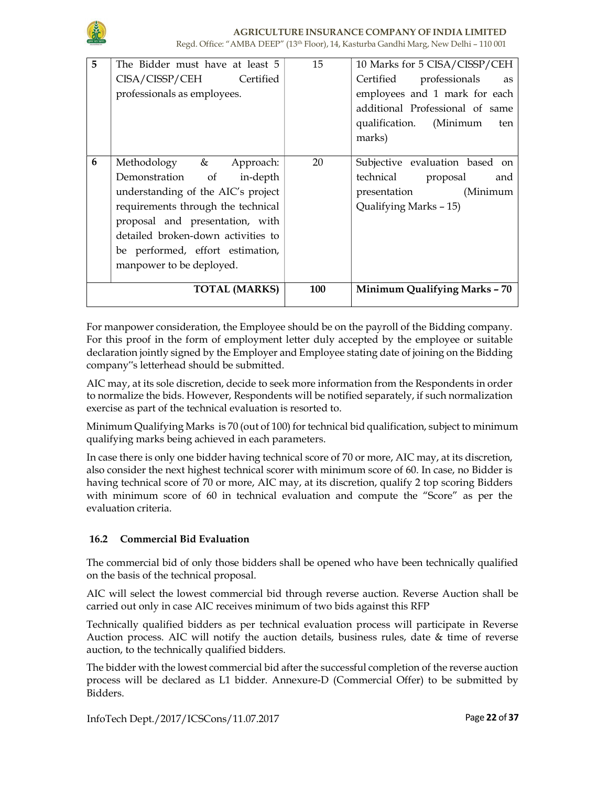

| 5 | The Bidder must have at least 5<br>CISA/CISSP/CEH Certified<br>professionals as employees.                                                                                                                                                                                | 15         | 10 Marks for 5 CISA/CISSP/CEH<br>Certified professionals<br>as<br>employees and 1 mark for each<br>additional Professional of same<br>qualification. (Minimum<br>ten<br>marks) |
|---|---------------------------------------------------------------------------------------------------------------------------------------------------------------------------------------------------------------------------------------------------------------------------|------------|--------------------------------------------------------------------------------------------------------------------------------------------------------------------------------|
| 6 | Methodology & Approach:<br>Demonstration of in-depth<br>understanding of the AIC's project<br>requirements through the technical<br>proposal and presentation, with<br>detailed broken-down activities to<br>be performed, effort estimation,<br>manpower to be deployed. | 20         | Subjective evaluation based on<br>technical proposal<br>and<br>presentation<br>(Minimum<br>Qualifying Marks - 15)                                                              |
|   | <b>TOTAL (MARKS)</b>                                                                                                                                                                                                                                                      | <b>100</b> | Minimum Qualifying Marks - 70                                                                                                                                                  |

For manpower consideration, the Employee should be on the payroll of the Bidding company. For this proof in the form of employment letter duly accepted by the employee or suitable declaration jointly signed by the Employer and Employee stating date of joining on the Bidding company"s letterhead should be submitted.

AIC may, at its sole discretion, decide to seek more information from the Respondents in order to normalize the bids. However, Respondents will be notified separately, if such normalization exercise as part of the technical evaluation is resorted to.

Minimum Qualifying Marks is 70 (out of 100) for technical bid qualification, subject to minimum qualifying marks being achieved in each parameters.

In case there is only one bidder having technical score of 70 or more, AIC may, at its discretion, also consider the next highest technical scorer with minimum score of 60. In case, no Bidder is having technical score of 70 or more, AIC may, at its discretion, qualify 2 top scoring Bidders with minimum score of 60 in technical evaluation and compute the "Score" as per the evaluation criteria.

# 16.2 Commercial Bid Evaluation

The commercial bid of only those bidders shall be opened who have been technically qualified on the basis of the technical proposal.

AIC will select the lowest commercial bid through reverse auction. Reverse Auction shall be carried out only in case AIC receives minimum of two bids against this RFP

Technically qualified bidders as per technical evaluation process will participate in Reverse Auction process. AIC will notify the auction details, business rules, date & time of reverse auction, to the technically qualified bidders.

The bidder with the lowest commercial bid after the successful completion of the reverse auction process will be declared as L1 bidder. Annexure-D (Commercial Offer) to be submitted by Bidders.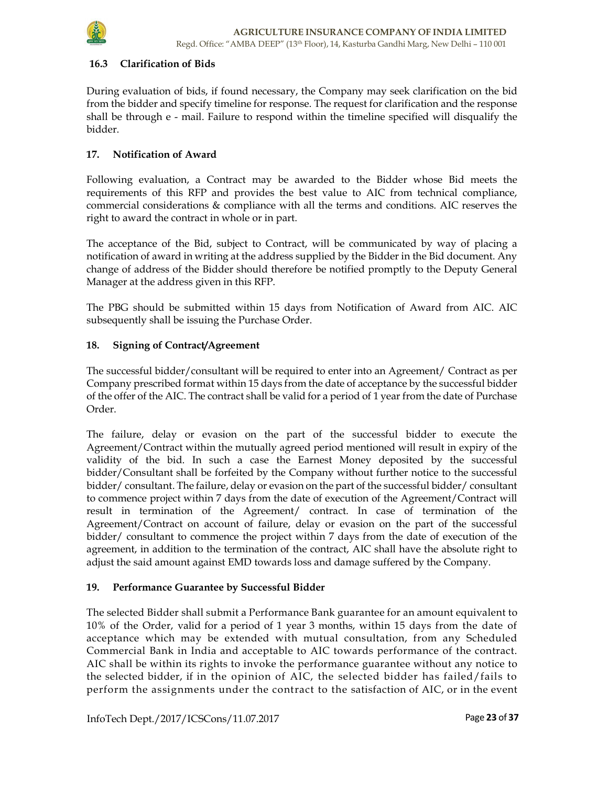

### 16.3 Clarification of Bids

During evaluation of bids, if found necessary, the Company may seek clarification on the bid from the bidder and specify timeline for response. The request for clarification and the response shall be through e - mail. Failure to respond within the timeline specified will disqualify the bidder.

### 17. Notification of Award

Following evaluation, a Contract may be awarded to the Bidder whose Bid meets the requirements of this RFP and provides the best value to AIC from technical compliance, commercial considerations & compliance with all the terms and conditions. AIC reserves the right to award the contract in whole or in part.

The acceptance of the Bid, subject to Contract, will be communicated by way of placing a notification of award in writing at the address supplied by the Bidder in the Bid document. Any change of address of the Bidder should therefore be notified promptly to the Deputy General Manager at the address given in this RFP.

The PBG should be submitted within 15 days from Notification of Award from AIC. AIC subsequently shall be issuing the Purchase Order.

### 18. Signing of Contract/Agreement

The successful bidder/consultant will be required to enter into an Agreement/ Contract as per Company prescribed format within 15 days from the date of acceptance by the successful bidder of the offer of the AIC. The contract shall be valid for a period of 1 year from the date of Purchase Order.

The failure, delay or evasion on the part of the successful bidder to execute the Agreement/Contract within the mutually agreed period mentioned will result in expiry of the validity of the bid. In such a case the Earnest Money deposited by the successful bidder/Consultant shall be forfeited by the Company without further notice to the successful bidder/ consultant. The failure, delay or evasion on the part of the successful bidder/ consultant to commence project within 7 days from the date of execution of the Agreement/Contract will result in termination of the Agreement/ contract. In case of termination of the Agreement/Contract on account of failure, delay or evasion on the part of the successful bidder/ consultant to commence the project within 7 days from the date of execution of the agreement, in addition to the termination of the contract, AIC shall have the absolute right to adjust the said amount against EMD towards loss and damage suffered by the Company.

### 19. Performance Guarantee by Successful Bidder

The selected Bidder shall submit a Performance Bank guarantee for an amount equivalent to 10% of the Order, valid for a period of 1 year 3 months, within 15 days from the date of acceptance which may be extended with mutual consultation, from any Scheduled Commercial Bank in India and acceptable to AIC towards performance of the contract. AIC shall be within its rights to invoke the performance guarantee without any notice to the selected bidder, if in the opinion of AIC, the selected bidder has failed/fails to perform the assignments under the contract to the satisfaction of AIC, or in the event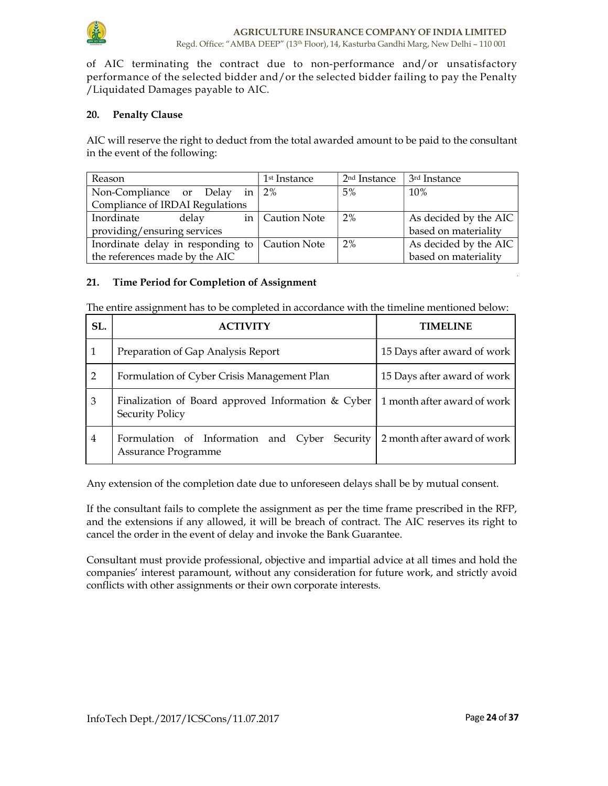

of AIC terminating the contract due to non-performance and/or unsatisfactory performance of the selected bidder and/or the selected bidder failing to pay the Penalty /Liquidated Damages payable to AIC.

### 20. Penalty Clause

AIC will reserve the right to deduct from the total awarded amount to be paid to the consultant in the event of the following:

| Reason                                           |  |  |                   | 1 <sup>st</sup> Instance | 2 <sup>nd</sup> Instance | 3 <sup>rd</sup> Instance |
|--------------------------------------------------|--|--|-------------------|--------------------------|--------------------------|--------------------------|
| Non-Compliance or Delay in $2\%$                 |  |  | 5%                | 10%                      |                          |                          |
| Compliance of IRDAI Regulations                  |  |  |                   |                          |                          |                          |
| Inordinate<br>delay                              |  |  | in   Caution Note | 2%                       | As decided by the AIC    |                          |
| providing/ensuring services                      |  |  |                   |                          | based on materiality     |                          |
| Inordinate delay in responding to   Caution Note |  |  |                   | 2%                       | As decided by the AIC    |                          |
| the references made by the AIC                   |  |  |                   |                          | based on materiality     |                          |

### 21. Time Period for Completion of Assignment

The entire assignment has to be completed in accordance with the timeline mentioned below:

| SL.            | <b>ACTIVITY</b>                                                                                  | TIMELINE                    |
|----------------|--------------------------------------------------------------------------------------------------|-----------------------------|
|                | Preparation of Gap Analysis Report                                                               | 15 Days after award of work |
| $\overline{2}$ | Formulation of Cyber Crisis Management Plan                                                      | 15 Days after award of work |
| 3              | Finalization of Board approved Information $& \text{Cyber}$<br><b>Security Policy</b>            | 1 month after award of work |
| $\overline{4}$ | Formulation of Information and Cyber Security 2 month after award of work<br>Assurance Programme |                             |

Any extension of the completion date due to unforeseen delays shall be by mutual consent.

If the consultant fails to complete the assignment as per the time frame prescribed in the RFP, and the extensions if any allowed, it will be breach of contract. The AIC reserves its right to cancel the order in the event of delay and invoke the Bank Guarantee.

Consultant must provide professional, objective and impartial advice at all times and hold the companies' interest paramount, without any consideration for future work, and strictly avoid conflicts with other assignments or their own corporate interests.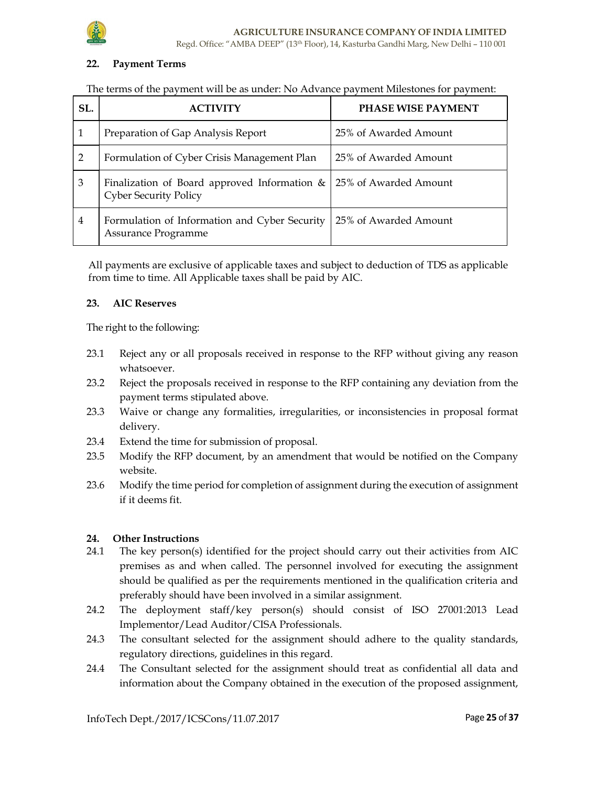

### 22. Payment Terms

### The terms of the payment will be as under: No Advance payment Milestones for payment:

| SL.            |                                                                              | <b>PHASE WISE PAYMENT</b> |
|----------------|------------------------------------------------------------------------------|---------------------------|
|                | Preparation of Gap Analysis Report                                           | 25% of Awarded Amount     |
| 2              | Formulation of Cyber Crisis Management Plan                                  | 25% of Awarded Amount     |
| 3              | Finalization of Board approved Information &<br><b>Cyber Security Policy</b> | 25% of Awarded Amount     |
| $\overline{4}$ | Formulation of Information and Cyber Security<br>Assurance Programme         | 25% of Awarded Amount     |

All payments are exclusive of applicable taxes and subject to deduction of TDS as applicable from time to time. All Applicable taxes shall be paid by AIC.

### 23. AIC Reserves

The right to the following:

- 23.1 Reject any or all proposals received in response to the RFP without giving any reason whatsoever.
- 23.2 Reject the proposals received in response to the RFP containing any deviation from the payment terms stipulated above.
- 23.3 Waive or change any formalities, irregularities, or inconsistencies in proposal format delivery.
- 23.4 Extend the time for submission of proposal.
- 23.5 Modify the RFP document, by an amendment that would be notified on the Company website.
- 23.6 Modify the time period for completion of assignment during the execution of assignment if it deems fit.

### 24. Other Instructions

- 24.1 The key person(s) identified for the project should carry out their activities from AIC premises as and when called. The personnel involved for executing the assignment should be qualified as per the requirements mentioned in the qualification criteria and preferably should have been involved in a similar assignment.
- 24.2 The deployment staff/key person(s) should consist of ISO 27001:2013 Lead Implementor/Lead Auditor/CISA Professionals.
- 24.3 The consultant selected for the assignment should adhere to the quality standards, regulatory directions, guidelines in this regard.
- 24.4 The Consultant selected for the assignment should treat as confidential all data and information about the Company obtained in the execution of the proposed assignment,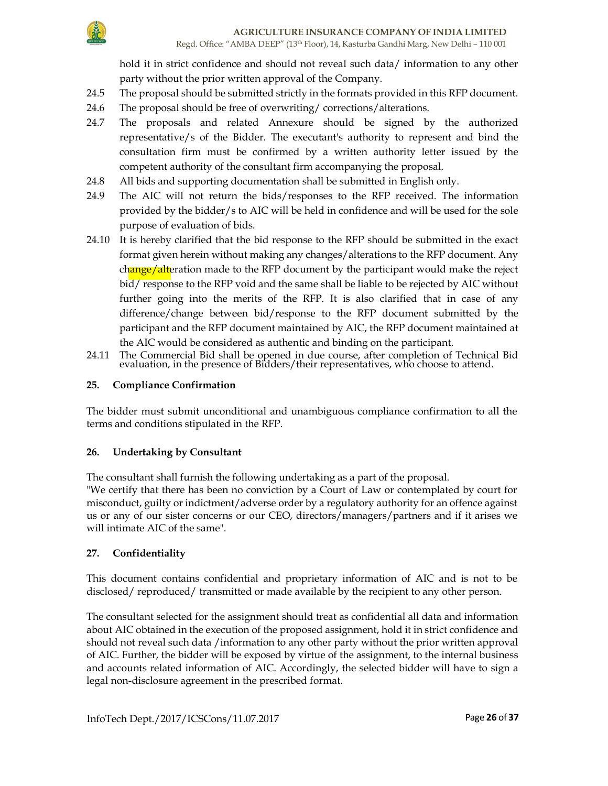hold it in strict confidence and should not reveal such data/ information to any other party without the prior written approval of the Company.

- 24.5 The proposal should be submitted strictly in the formats provided in this RFP document.
- 24.6 The proposal should be free of overwriting/ corrections/alterations.
- 24.7 The proposals and related Annexure should be signed by the authorized representative/s of the Bidder. The executant's authority to represent and bind the consultation firm must be confirmed by a written authority letter issued by the competent authority of the consultant firm accompanying the proposal.
- 24.8 All bids and supporting documentation shall be submitted in English only.
- 24.9 The AIC will not return the bids/responses to the RFP received. The information provided by the bidder/s to AIC will be held in confidence and will be used for the sole purpose of evaluation of bids.
- 24.10 It is hereby clarified that the bid response to the RFP should be submitted in the exact format given herein without making any changes/alterations to the RFP document. Any change/alteration made to the RFP document by the participant would make the reject bid/ response to the RFP void and the same shall be liable to be rejected by AIC without further going into the merits of the RFP. It is also clarified that in case of any difference/change between bid/response to the RFP document submitted by the participant and the RFP document maintained by AIC, the RFP document maintained at the AIC would be considered as authentic and binding on the participant.
- 24.11 The Commercial Bid shall be opened in due course, after completion of Technical Bid evaluation, in the presence of Bidders/their representatives, who choose to attend.

# 25. Compliance Confirmation

The bidder must submit unconditional and unambiguous compliance confirmation to all the terms and conditions stipulated in the RFP.

### 26. Undertaking by Consultant

The consultant shall furnish the following undertaking as a part of the proposal. "We certify that there has been no conviction by a Court of Law or contemplated by court for misconduct, guilty or indictment/adverse order by a regulatory authority for an offence against us or any of our sister concerns or our CEO, directors/managers/partners and if it arises we will intimate AIC of the same".

# 27. Confidentiality

This document contains confidential and proprietary information of AIC and is not to be disclosed/ reproduced/ transmitted or made available by the recipient to any other person.

The consultant selected for the assignment should treat as confidential all data and information about AIC obtained in the execution of the proposed assignment, hold it in strict confidence and should not reveal such data /information to any other party without the prior written approval of AIC. Further, the bidder will be exposed by virtue of the assignment, to the internal business and accounts related information of AIC. Accordingly, the selected bidder will have to sign a legal non-disclosure agreement in the prescribed format.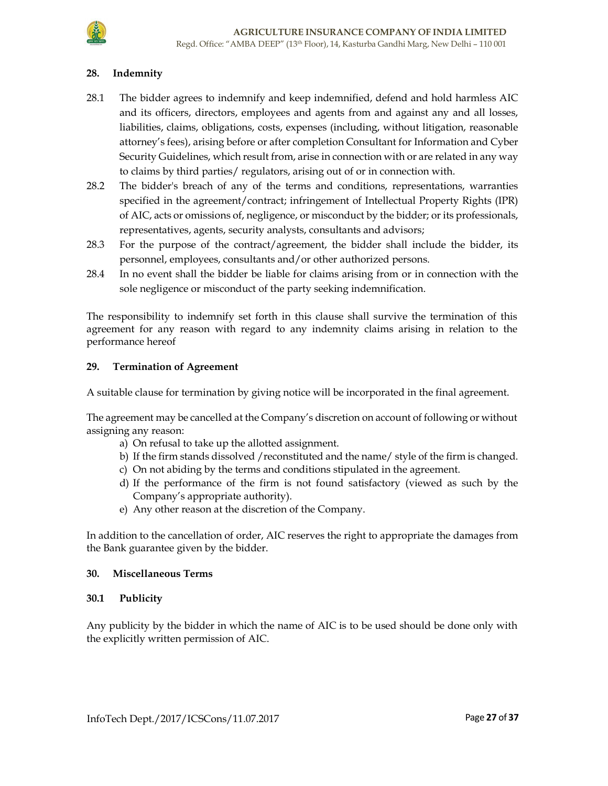### 28. Indemnity

- 28.1 The bidder agrees to indemnify and keep indemnified, defend and hold harmless AIC and its officers, directors, employees and agents from and against any and all losses, liabilities, claims, obligations, costs, expenses (including, without litigation, reasonable attorney's fees), arising before or after completion Consultant for Information and Cyber Security Guidelines, which result from, arise in connection with or are related in any way to claims by third parties/ regulators, arising out of or in connection with.
- 28.2 The bidder's breach of any of the terms and conditions, representations, warranties specified in the agreement/contract; infringement of Intellectual Property Rights (IPR) of AIC, acts or omissions of, negligence, or misconduct by the bidder; or its professionals, representatives, agents, security analysts, consultants and advisors;
- 28.3 For the purpose of the contract/agreement, the bidder shall include the bidder, its personnel, employees, consultants and/or other authorized persons.
- 28.4 In no event shall the bidder be liable for claims arising from or in connection with the sole negligence or misconduct of the party seeking indemnification.

The responsibility to indemnify set forth in this clause shall survive the termination of this agreement for any reason with regard to any indemnity claims arising in relation to the performance hereof

### 29. Termination of Agreement

A suitable clause for termination by giving notice will be incorporated in the final agreement.

The agreement may be cancelled at the Company's discretion on account of following or without assigning any reason:

- a) On refusal to take up the allotted assignment.
- b) If the firm stands dissolved /reconstituted and the name/ style of the firm is changed.
- c) On not abiding by the terms and conditions stipulated in the agreement.
- d) If the performance of the firm is not found satisfactory (viewed as such by the Company's appropriate authority).
- e) Any other reason at the discretion of the Company.

In addition to the cancellation of order, AIC reserves the right to appropriate the damages from the Bank guarantee given by the bidder.

#### 30. Miscellaneous Terms

#### 30.1 Publicity

Any publicity by the bidder in which the name of AIC is to be used should be done only with the explicitly written permission of AIC.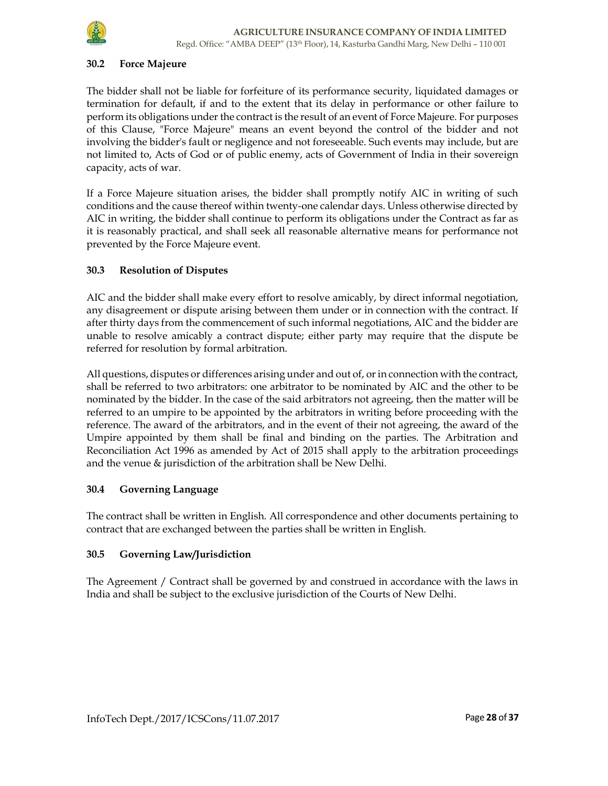

### 30.2 Force Majeure

The bidder shall not be liable for forfeiture of its performance security, liquidated damages or termination for default, if and to the extent that its delay in performance or other failure to perform its obligations under the contract is the result of an event of Force Majeure. For purposes of this Clause, "Force Majeure" means an event beyond the control of the bidder and not involving the bidder's fault or negligence and not foreseeable. Such events may include, but are not limited to, Acts of God or of public enemy, acts of Government of India in their sovereign capacity, acts of war.

If a Force Majeure situation arises, the bidder shall promptly notify AIC in writing of such conditions and the cause thereof within twenty-one calendar days. Unless otherwise directed by AIC in writing, the bidder shall continue to perform its obligations under the Contract as far as it is reasonably practical, and shall seek all reasonable alternative means for performance not prevented by the Force Majeure event.

### 30.3 Resolution of Disputes

AIC and the bidder shall make every effort to resolve amicably, by direct informal negotiation, any disagreement or dispute arising between them under or in connection with the contract. If after thirty days from the commencement of such informal negotiations, AIC and the bidder are unable to resolve amicably a contract dispute; either party may require that the dispute be referred for resolution by formal arbitration.

All questions, disputes or differences arising under and out of, or in connection with the contract, shall be referred to two arbitrators: one arbitrator to be nominated by AIC and the other to be nominated by the bidder. In the case of the said arbitrators not agreeing, then the matter will be referred to an umpire to be appointed by the arbitrators in writing before proceeding with the reference. The award of the arbitrators, and in the event of their not agreeing, the award of the Umpire appointed by them shall be final and binding on the parties. The Arbitration and Reconciliation Act 1996 as amended by Act of 2015 shall apply to the arbitration proceedings and the venue & jurisdiction of the arbitration shall be New Delhi.

#### 30.4 Governing Language

The contract shall be written in English. All correspondence and other documents pertaining to contract that are exchanged between the parties shall be written in English.

#### 30.5 Governing Law/Jurisdiction

The Agreement / Contract shall be governed by and construed in accordance with the laws in India and shall be subject to the exclusive jurisdiction of the Courts of New Delhi.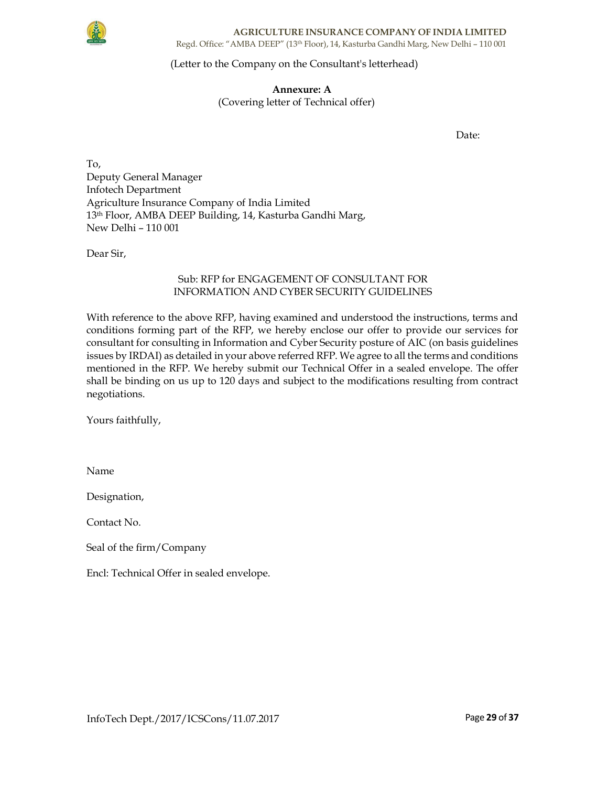

AGRICULTURE INSURANCE COMPANY OF INDIA LIMITED Regd. Office: "AMBA DEEP" (13th Floor), 14, Kasturba Gandhi Marg, New Delhi – 110 001

### (Letter to the Company on the Consultant's letterhead)

Annexure: A (Covering letter of Technical offer)

Date:

To, Deputy General Manager Infotech Department Agriculture Insurance Company of India Limited 13th Floor, AMBA DEEP Building, 14, Kasturba Gandhi Marg, New Delhi – 110 001

Dear Sir,

# Sub: RFP for ENGAGEMENT OF CONSULTANT FOR INFORMATION AND CYBER SECURITY GUIDELINES

With reference to the above RFP, having examined and understood the instructions, terms and conditions forming part of the RFP, we hereby enclose our offer to provide our services for consultant for consulting in Information and Cyber Security posture of AIC (on basis guidelines issues by IRDAI) as detailed in your above referred RFP. We agree to all the terms and conditions mentioned in the RFP. We hereby submit our Technical Offer in a sealed envelope. The offer shall be binding on us up to 120 days and subject to the modifications resulting from contract negotiations.

Yours faithfully,

Name

Designation,

Contact No.

Seal of the firm/Company

Encl: Technical Offer in sealed envelope.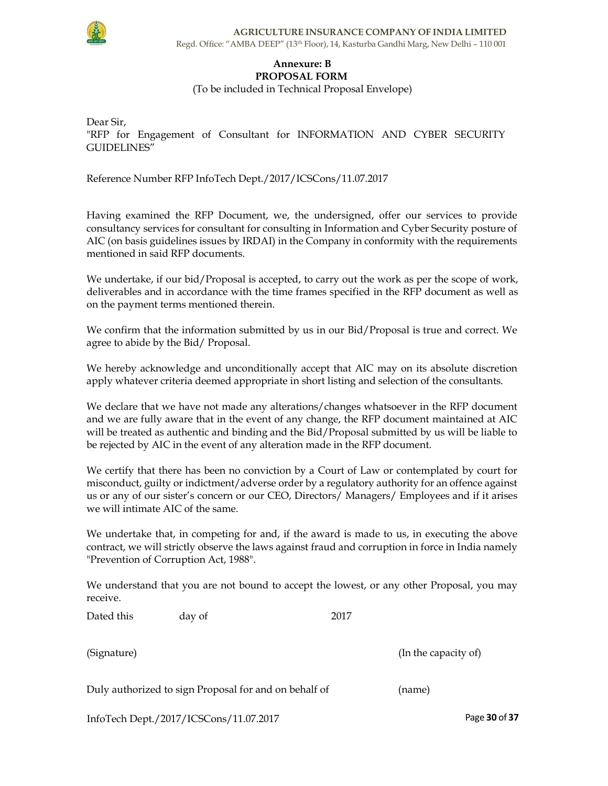

#### Annexure: B PROPOSAL FORM

(To be included in Technical Proposal Envelope)

Dear Sir, "RFP for Engagement of Consultant for INFORMATION AND CYBER SECURITY GUIDELINES"

Reference Number RFP InfoTech Dept./2017/ICSCons/11.07.2017

Having examined the RFP Document, we, the undersigned, offer our services to provide consultancy services for consultant for consulting in Information and Cyber Security posture of AIC (on basis guidelines issues by IRDAI) in the Company in conformity with the requirements mentioned in said RFP documents.

We undertake, if our bid/Proposal is accepted, to carry out the work as per the scope of work, deliverables and in accordance with the time frames specified in the RFP document as well as on the payment terms mentioned therein.

We confirm that the information submitted by us in our Bid/Proposal is true and correct. We agree to abide by the Bid/ Proposal.

We hereby acknowledge and unconditionally accept that AIC may on its absolute discretion apply whatever criteria deemed appropriate in short listing and selection of the consultants.

We declare that we have not made any alterations/changes whatsoever in the RFP document and we are fully aware that in the event of any change, the RFP document maintained at AIC will be treated as authentic and binding and the Bid/Proposal submitted by us will be liable to be rejected by AIC in the event of any alteration made in the RFP document.

We certify that there has been no conviction by a Court of Law or contemplated by court for misconduct, guilty or indictment/adverse order by a regulatory authority for an offence against us or any of our sister's concern or our CEO, Directors/ Managers/ Employees and if it arises we will intimate AIC of the same.

We undertake that, in competing for and, if the award is made to us, in executing the above contract, we will strictly observe the laws against fraud and corruption in force in India namely "Prevention of Corruption Act, 1988".

We understand that you are not bound to accept the lowest, or any other Proposal, you may receive.

| Dated this | day of | 2017 |
|------------|--------|------|
|------------|--------|------|

(Signature) (In the capacity of) (In the capacity of)

| Duly authorized to sign Proposal for and on behalf of |  |  | (name) |  |
|-------------------------------------------------------|--|--|--------|--|
|                                                       |  |  |        |  |

InfoTech Dept./2017/ICSCons/11.07.2017 Page 30 of 37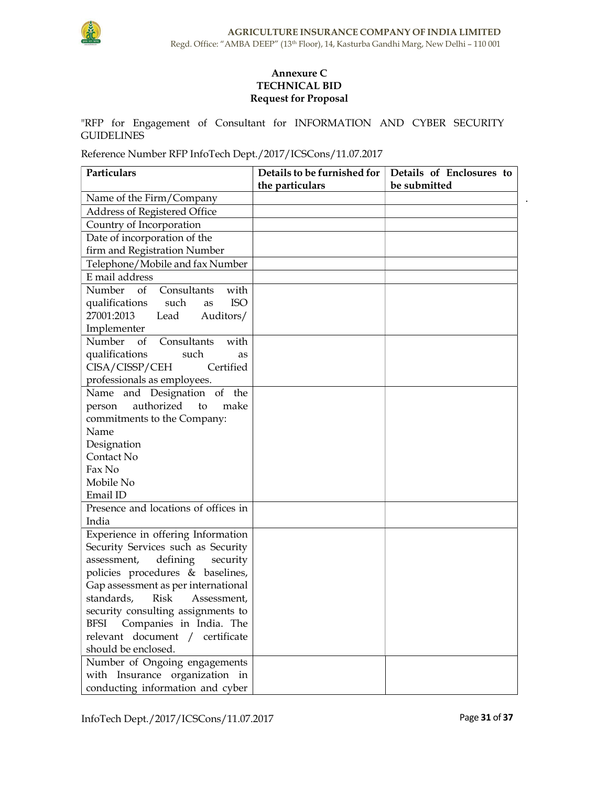

# Annexure C TECHNICAL BID Request for Proposal

"RFP for Engagement of Consultant for INFORMATION AND CYBER SECURITY GUIDELINES

Reference Number RFP InfoTech Dept./2017/ICSCons/11.07.2017

| Particulars                             | Details to be furnished for | Details of Enclosures to |
|-----------------------------------------|-----------------------------|--------------------------|
|                                         | the particulars             | be submitted             |
| Name of the Firm/Company                |                             |                          |
| Address of Registered Office            |                             |                          |
| Country of Incorporation                |                             |                          |
| Date of incorporation of the            |                             |                          |
| firm and Registration Number            |                             |                          |
| Telephone/Mobile and fax Number         |                             |                          |
| E mail address                          |                             |                          |
| Number of Consultants<br>with           |                             |                          |
| <b>ISO</b><br>qualifications such<br>as |                             |                          |
| 27001:2013<br>Lead<br>Auditors/         |                             |                          |
| Implementer                             |                             |                          |
| Number of<br>Consultants<br>with        |                             |                          |
| qualifications<br>such<br>as            |                             |                          |
| CISA/CISSP/CEH<br>Certified             |                             |                          |
| professionals as employees.             |                             |                          |
| Name and Designation of the             |                             |                          |
| authorized<br>make<br>person<br>to      |                             |                          |
| commitments to the Company:             |                             |                          |
| Name                                    |                             |                          |
| Designation                             |                             |                          |
| Contact No                              |                             |                          |
| Fax No                                  |                             |                          |
| Mobile No                               |                             |                          |
| Email ID                                |                             |                          |
| Presence and locations of offices in    |                             |                          |
| India                                   |                             |                          |
| Experience in offering Information      |                             |                          |
| Security Services such as Security      |                             |                          |
| assessment,<br>defining<br>security     |                             |                          |
| policies procedures & baselines,        |                             |                          |
| Gap assessment as per international     |                             |                          |
| standards, Risk Assessment,             |                             |                          |
| security consulting assignments to      |                             |                          |
| Companies in India. The<br><b>BFSI</b>  |                             |                          |
| relevant document /<br>certificate      |                             |                          |
| should be enclosed.                     |                             |                          |
| Number of Ongoing engagements           |                             |                          |
| with Insurance organization in          |                             |                          |
| conducting information and cyber        |                             |                          |

 $\bar{\mathbf{r}}$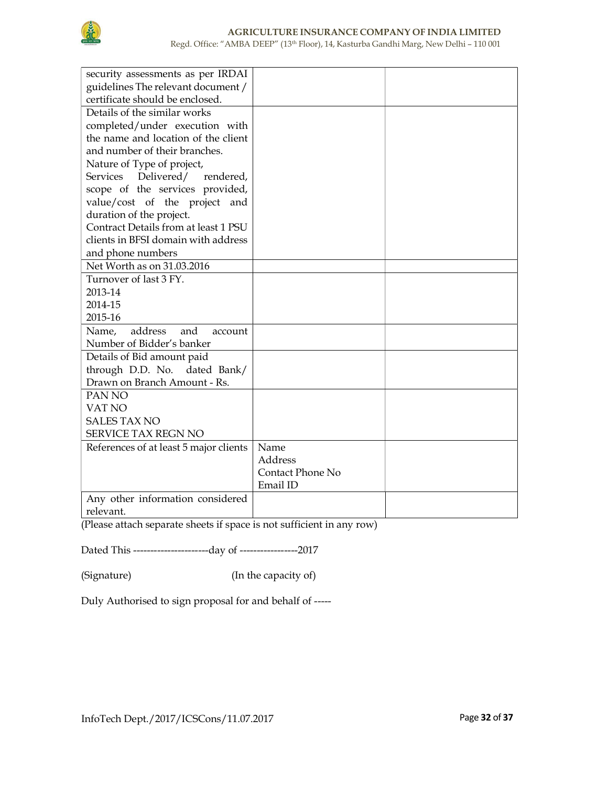

Regd. Office: "AMBA DEEP" (13th Floor), 14, Kasturba Gandhi Marg, New Delhi – 110 001

| security assessments as per IRDAI       |                  |  |
|-----------------------------------------|------------------|--|
| guidelines The relevant document /      |                  |  |
| certificate should be enclosed.         |                  |  |
| Details of the similar works            |                  |  |
| completed/under execution with          |                  |  |
| the name and location of the client     |                  |  |
| and number of their branches.           |                  |  |
| Nature of Type of project,              |                  |  |
| Delivered/ rendered,<br><b>Services</b> |                  |  |
| scope of the services provided,         |                  |  |
| value/cost of the project and           |                  |  |
| duration of the project.                |                  |  |
| Contract Details from at least 1 PSU    |                  |  |
| clients in BFSI domain with address     |                  |  |
| and phone numbers                       |                  |  |
| Net Worth as on 31.03.2016              |                  |  |
| Turnover of last 3 FY.                  |                  |  |
| 2013-14                                 |                  |  |
| 2014-15                                 |                  |  |
| 2015-16                                 |                  |  |
| address<br>Name,<br>and<br>account      |                  |  |
| Number of Bidder's banker               |                  |  |
| Details of Bid amount paid              |                  |  |
| through D.D. No.<br>dated Bank/         |                  |  |
| Drawn on Branch Amount - Rs.            |                  |  |
| PAN <sub>NO</sub>                       |                  |  |
| VAT NO                                  |                  |  |
| <b>SALES TAX NO</b>                     |                  |  |
| <b>SERVICE TAX REGN NO</b>              |                  |  |
| References of at least 5 major clients  | Name             |  |
|                                         | Address          |  |
|                                         | Contact Phone No |  |
|                                         | Email ID         |  |
| Any other information considered        |                  |  |
| relevant.                               |                  |  |

(Please attach separate sheets if space is not sufficient in any row)

Dated This ----------------------day of -----------------2017

(Signature) (In the capacity of)

Duly Authorised to sign proposal for and behalf of -----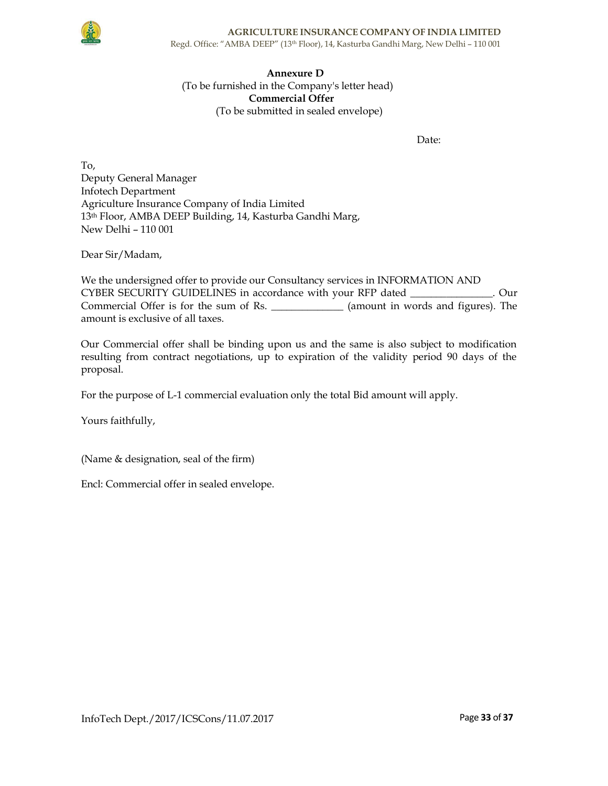

# Annexure D (To be furnished in the Company's letter head) Commercial Offer (To be submitted in sealed envelope)

Date:

To, Deputy General Manager Infotech Department Agriculture Insurance Company of India Limited 13th Floor, AMBA DEEP Building, 14, Kasturba Gandhi Marg, New Delhi – 110 001

Dear Sir/Madam,

We the undersigned offer to provide our Consultancy services in INFORMATION AND CYBER SECURITY GUIDELINES in accordance with your RFP dated \_\_\_\_\_\_\_\_\_\_\_\_\_\_\_\_. Our Commercial Offer is for the sum of Rs. \_\_\_\_\_\_\_\_\_\_\_\_\_\_ (amount in words and figures). The amount is exclusive of all taxes.

Our Commercial offer shall be binding upon us and the same is also subject to modification resulting from contract negotiations, up to expiration of the validity period 90 days of the proposal.

For the purpose of L-1 commercial evaluation only the total Bid amount will apply.

Yours faithfully,

(Name & designation, seal of the firm)

Encl: Commercial offer in sealed envelope.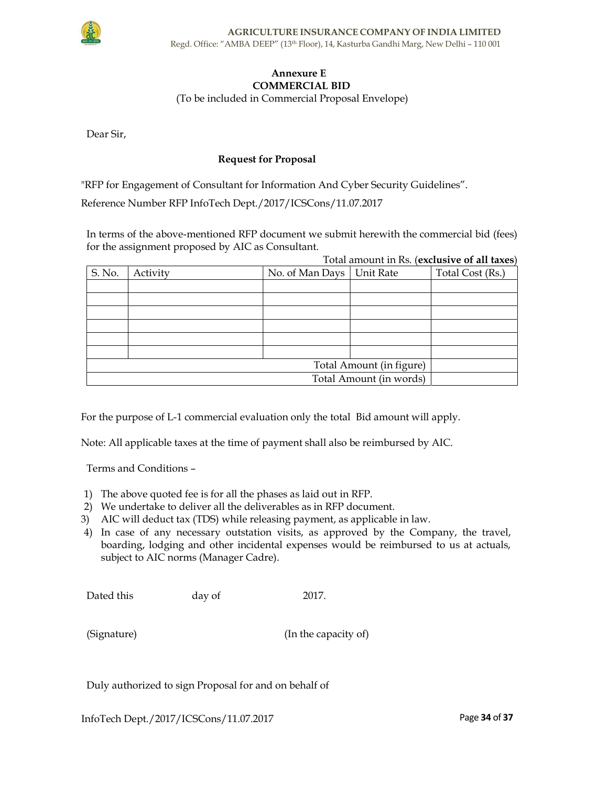

# Annexure E COMMERCIAL BID

(To be included in Commercial Proposal Envelope)

Dear Sir,

# Request for Proposal

"RFP for Engagement of Consultant for Information And Cyber Security Guidelines".

Reference Number RFP InfoTech Dept./2017/ICSCons/11.07.2017

In terms of the above-mentioned RFP document we submit herewith the commercial bid (fees) for the assignment proposed by AIC as Consultant.  $Total amount in  $R_0$  (exductive of all  $two$ )$ 

|                          |                         |                 |           | Total amount in Ks. (exclusive of all taxes) |
|--------------------------|-------------------------|-----------------|-----------|----------------------------------------------|
| S. No.                   | Activity                | No. of Man Days | Unit Rate | Total Cost (Rs.)                             |
|                          |                         |                 |           |                                              |
|                          |                         |                 |           |                                              |
|                          |                         |                 |           |                                              |
|                          |                         |                 |           |                                              |
|                          |                         |                 |           |                                              |
|                          |                         |                 |           |                                              |
| Total Amount (in figure) |                         |                 |           |                                              |
|                          | Total Amount (in words) |                 |           |                                              |

For the purpose of L-1 commercial evaluation only the total Bid amount will apply.

Note: All applicable taxes at the time of payment shall also be reimbursed by AIC.

Terms and Conditions –

- 1) The above quoted fee is for all the phases as laid out in RFP.
- 2) We undertake to deliver all the deliverables as in RFP document.
- 3) AIC will deduct tax (TDS) while releasing payment, as applicable in law.
- 4) In case of any necessary outstation visits, as approved by the Company, the travel, boarding, lodging and other incidental expenses would be reimbursed to us at actuals, subject to AIC norms (Manager Cadre).

| Dated this | day of | 2017. |
|------------|--------|-------|
|------------|--------|-------|

| (Signature) |
|-------------|
|             |

(Signature) (In the capacity of)

Duly authorized to sign Proposal for and on behalf of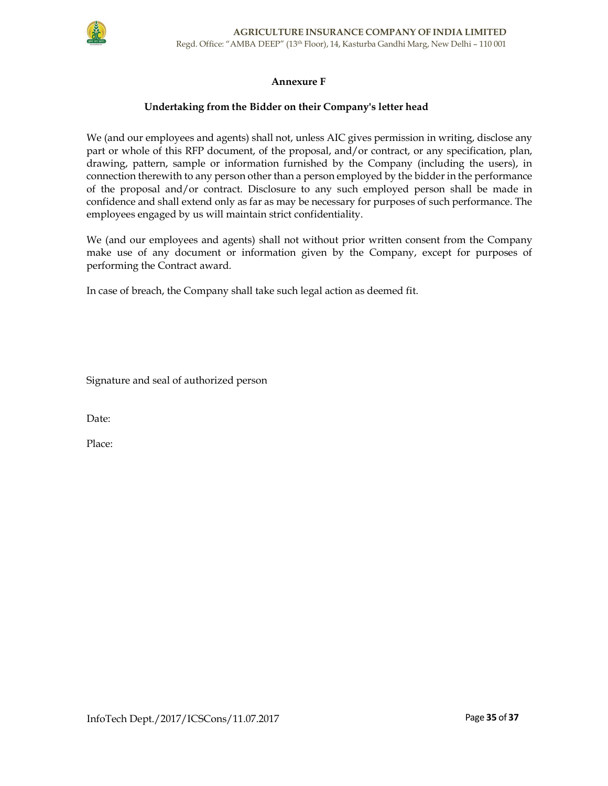

# Annexure F

### Undertaking from the Bidder on their Company's letter head

We (and our employees and agents) shall not, unless AIC gives permission in writing, disclose any part or whole of this RFP document, of the proposal, and/or contract, or any specification, plan, drawing, pattern, sample or information furnished by the Company (including the users), in connection therewith to any person other than a person employed by the bidder in the performance of the proposal and/or contract. Disclosure to any such employed person shall be made in confidence and shall extend only as far as may be necessary for purposes of such performance. The employees engaged by us will maintain strict confidentiality.

We (and our employees and agents) shall not without prior written consent from the Company make use of any document or information given by the Company, except for purposes of performing the Contract award.

In case of breach, the Company shall take such legal action as deemed fit.

Signature and seal of authorized person

Date:

Place: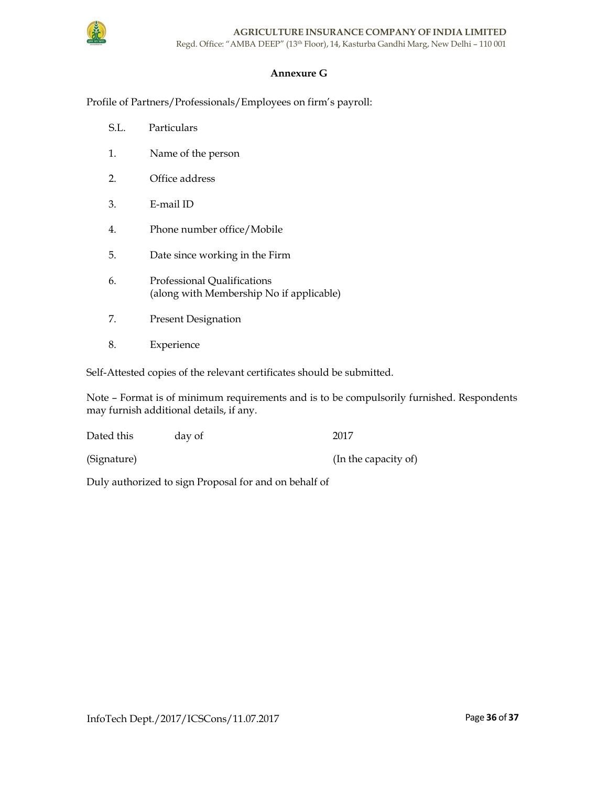# Annexure G

Profile of Partners/Professionals/Employees on firm's payroll:

- S.L. Particulars
- 1. Name of the person
- 2. Office address
- 3. E-mail ID
- 4. Phone number office/Mobile
- 5. Date since working in the Firm
- 6. Professional Qualifications (along with Membership No if applicable)
- 7. Present Designation
- 8. Experience

Self-Attested copies of the relevant certificates should be submitted.

Note – Format is of minimum requirements and is to be compulsorily furnished. Respondents may furnish additional details, if any.

| Dated this  | day of | 2017                 |
|-------------|--------|----------------------|
| (Signature) |        | (In the capacity of) |

Duly authorized to sign Proposal for and on behalf of